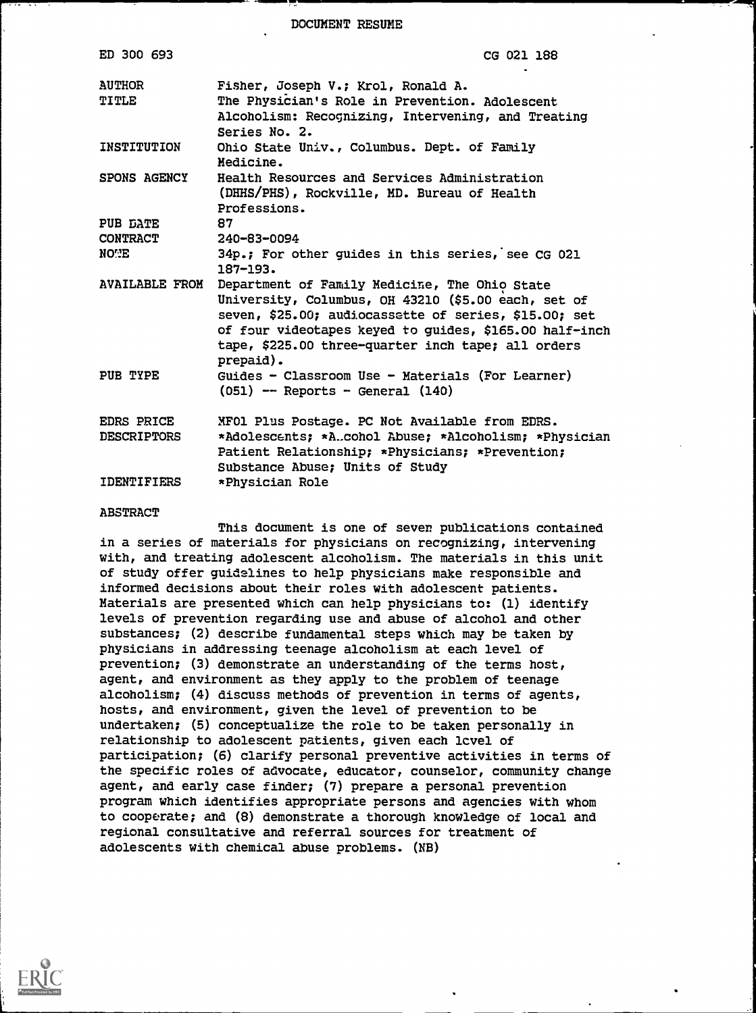DOCUMENT RESUME

| ED 300 693                              | CG 021 188                                                                                                                                                                                                                                                                                 |
|-----------------------------------------|--------------------------------------------------------------------------------------------------------------------------------------------------------------------------------------------------------------------------------------------------------------------------------------------|
| <b>AUTHOR</b><br>TITLE                  | Fisher, Joseph V.; Krol, Ronald A.<br>The Physician's Role in Prevention. Adolescent<br>Alcoholism: Recognizing, Intervening, and Treating<br>Series No. 2.                                                                                                                                |
| INSTITUTION                             | Ohio State Univ., Columbus. Dept. of Family<br>Medicine.                                                                                                                                                                                                                                   |
| <b>SPONS AGENCY</b>                     | Health Resources and Services Administration<br>(DHHS/PHS), Rockville, MD. Bureau of Health<br>Professions.                                                                                                                                                                                |
| PUB DATE                                | 87                                                                                                                                                                                                                                                                                         |
| <b>CONTRACT</b>                         | 240-83-0094                                                                                                                                                                                                                                                                                |
| NOWE                                    | 34p.; For other guides in this series, see CG 021<br>$187 - 193.$                                                                                                                                                                                                                          |
| <b>AVAILABLE FROM</b>                   | Department of Family Medicine, The Ohio State<br>University, Columbus, OH 43210 (\$5.00 each, set of<br>seven, \$25.00; audiocassette of series, \$15.00; set<br>of four videotapes keyed to guides, \$165.00 half-inch<br>tape, \$225.00 three-quarter inch tape; all orders<br>prepaid). |
| PUB TYPE                                | Guides - Classroom Use - Materials (For Learner)<br>$(051)$ -- Reports - General $(140)$                                                                                                                                                                                                   |
| <b>EDRS PRICE</b><br><b>DESCRIPTORS</b> | MFO1 Plus Postage. PC Not Available from EDRS.<br>*Adolescents; *A.cohol Abuse; *Alcoholism; *Physician<br>Patient Relationship; *Physicians; *Prevention;<br>Substance Abuse; Units of Study                                                                                              |
| IDENTIFIERS                             | *Physician Role                                                                                                                                                                                                                                                                            |

#### ABSTRACT

This document is one of seven publications contained in a series of materials for physicians on recognizing, intervening with, and treating adolescent alcoholism. The materials in this unit of study offer guidelines to help physicians make responsible and informed decisions about their roles with adolescent patients. Materials are presented which can help physicians to: (1) identify levels of prevention regarding use and abuse of alcohol and other substances; (2) describe fundamental steps which may be taken by physicians in addressing teenage alcoholism at each level of prevention; (3) demonstrate an understanding of the terms host, agent, and environment as they apply to the problem of teenage alcoholism; (4) discuss methods of prevention in terms of agents, hosts, and environment, given the level of prevention to be undertaken; (5) conceptualize the role to be taken personally in relationship to adolescent patients, given each lcvel of participation; (6) clarify personal preventive activities in terms of the specific roles of advocate, educator, counselor, community change agent, and early case finder; (7) prepare a personal prevention program which identifies appropriate persons and agencies with whom to cooperate; and (8) demonstrate a thorough knowledge of local and regional consultative and referral sources for treatment of adolescents with chemical abuse problems. (NB)

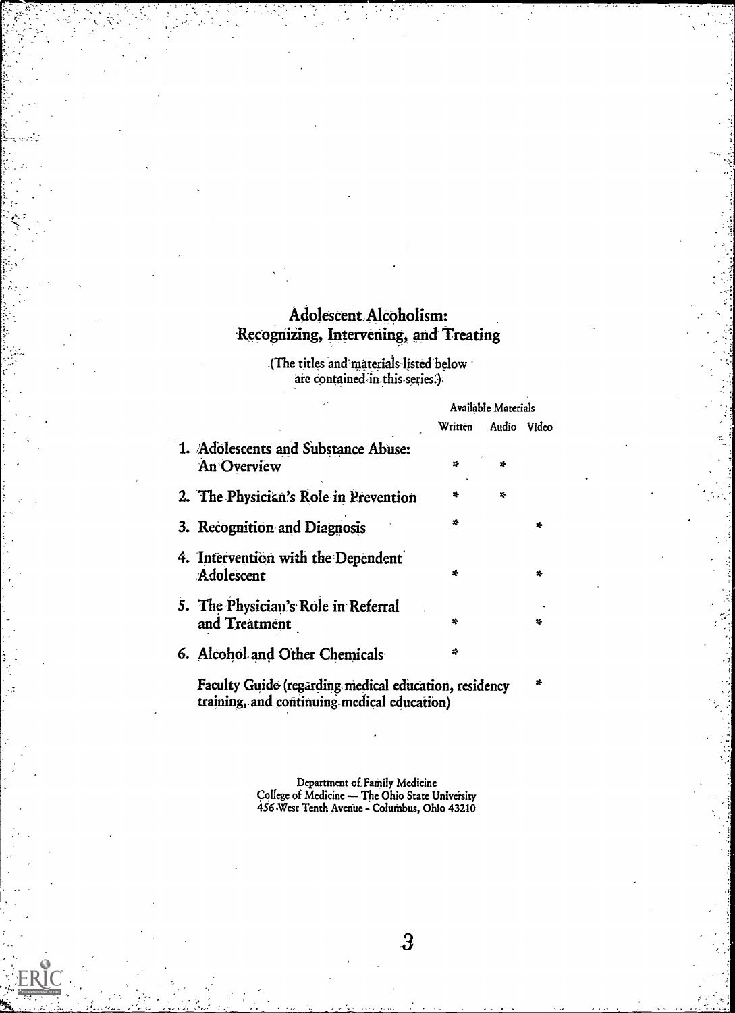# Adolescent.Alcoholism: Recognizing, Intervening, and Treating

.(The titles and materials-listed below are contained in this series.)

|                                                      | Available Materials |       |       |
|------------------------------------------------------|---------------------|-------|-------|
|                                                      | Written             | Audio | Video |
| 1. Adolescents and Substance Abuse:<br>An Overview   | ÷                   | 26    |       |
| 2. The Physician's Role in Prevention                | z.                  | 巷     |       |
| 3. Recognition and Diagnosis                         | z.                  |       | z.    |
| 4. Intervention with the Dependent<br>Adolescent     | ÷                   |       | ÷     |
| 5. The Physician's Role in Referral<br>and Treatment | 巷                   |       | z.    |
| 6. Alcohol and Other Chemicals                       | 捧                   |       |       |
|                                                      |                     |       |       |

Faculty Guide (regarding medical education, residency training,-and continuing. medical education)

> Department of. Family Medicine College of Medicine - The Ohio State University 456 West Tenth Avenue - Columbus, Ohio 43210

> > $\cdot 3$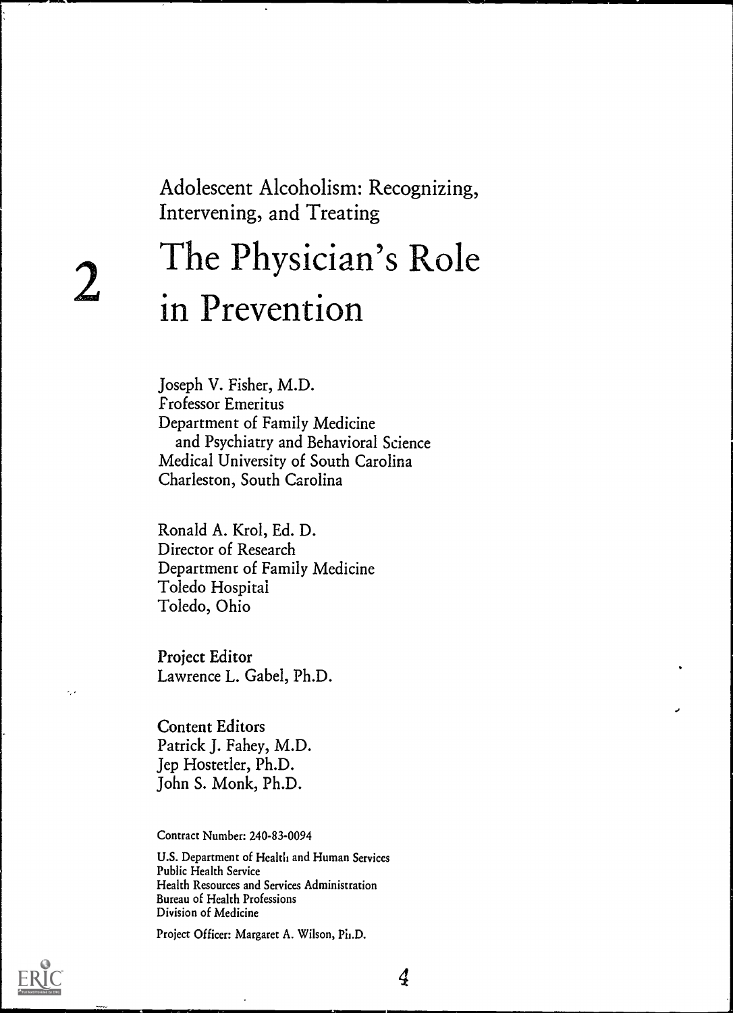Adolescent Alcoholism: Recognizing, Intervening, and Treating

# $2 \quad$  in Preventic The Physician's Role in Prevention

Joseph V. Fisher, M.D. Professor Emeritus Department of Family Medicine and Psychiatry and Behavioral Science Medical University of South Carolina Charleston, South Carolina

Ronald A. Krol, Ed. D. Director of Research Department of Family Medicine Toledo Hospital Toledo, Ohio

Project Editor Lawrence L. Gabel, Ph.D.

Content Editors Patrick J. Fahey, M.D. Jep Hostetler, Ph.D. John S. Monk, Ph.D.

Contract Number: 240-83-0094

U.S. Department of Health and Human Services Public Health Service Health Resources and Services Administration Bureau of Health Professions Division of Medicine

Project Officer: Margaret A. Wilson, Ph.D.



v,

4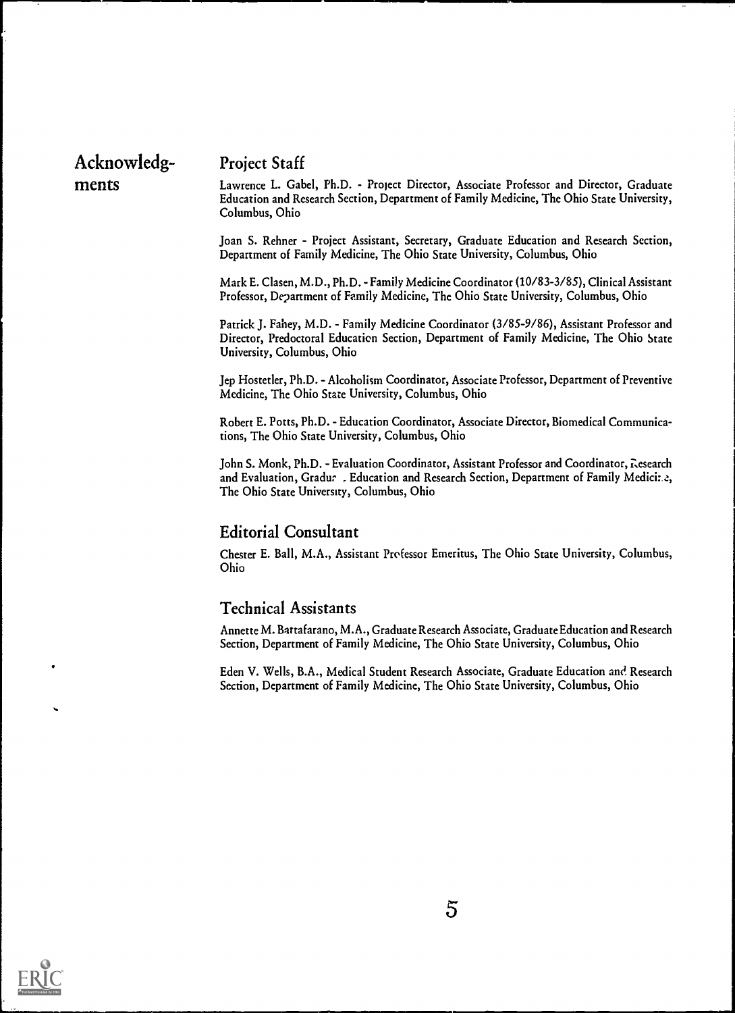# Acknowledg- Project Staff

ments Lawrence L. Gabel, Ph.D. - Project Director, Associate Professor and Director, Graduate Education and Research Section, Department of Family Medicine, The Ohio State University, Columbus, Ohio

> Joan S. Rehner - Project Assistant, Secretary, Graduate Education and Research Section, Department of Family Medicine, The Ohio State University, Columbus, Ohio

> Mark E. Clasen, M.D., Ph.D. - Family Medicine Coordinator (10/83-3/85), Clinical Assistant Professor, Department of Family Medicine, The Ohio State University, Columbus, Ohio

> Patrick J. Fahey, M.D. - Family Medicine Coordinator (3/85-9/86), Assistant Professor and Director, Predoctoral Education Section, Department of Family Medicine, The Ohio State University, Columbus, Ohio

> Jep Hostetler, Ph.D. - Alcoholism Coordinator, Associate Professor, Department of Preventive Medicine, The Ohio State University, Columbus, Ohio

> Robert E. Potts, Ph.D. - Education Coordinator, Associate Director, Biomedical Communications, The Ohio State University, Columbus, Ohio

> John S. Monk, Ph.D. - Evaluation Coordinator, Assistant Professor and Coordinator, Research and Evaluation, Gradur . Education and Research Section, Department of Family Medici:.e, The Ohio State University, Columbus, Ohio

#### Editorial Consultant

Chester E. Ball, M.A., Assistant Professor Emeritus, The Ohio State University, Columbus, Ohio

## Technical Assistants

Annette M. Battafarano, M.A., Graduate Research Associate, Graduate Education and Research Section, Department of Family Medicine, The Ohio State University, Columbus, Ohio

Eden V. Wells, B.A., Medical Student Research Associate, Graduate Education and. Research Section, Department of Family Medicine, The Ohio State University, Columbus, Ohio

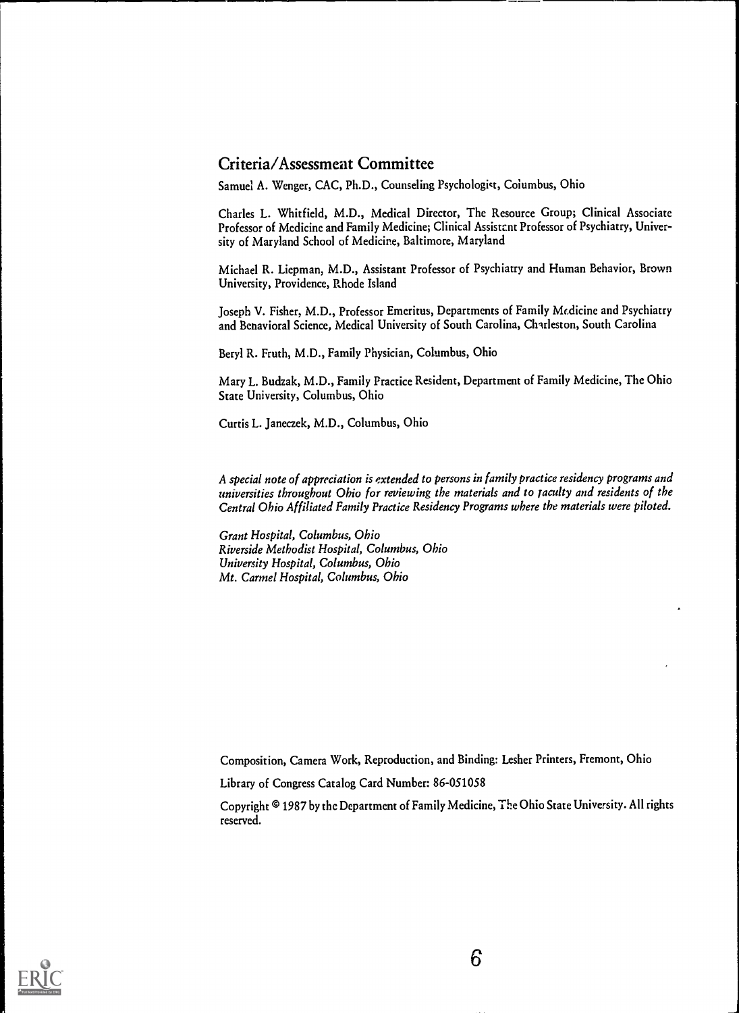# Criteria/Assessment Committee

Samuel A. Wenger, CAC, Ph.D., Counseling Psychologist, Columbus, Ohio

Charles L. Whitfield, M.D., Medical Director, The Resource Group; Clinical Associate Professor of Medicine and Family Medicine; Clinical Assistent Professor of Psychiatry, University of Maryland School of Medicine, Baltimore, Maryland

Michael R. Liepman, M.D., Assistant Professor of Psychiatry and Human Behavior, Brown University, Providence, Rhode Island

Joseph V. Fisher, M.D., Professor Emeritus, Departments of Family Medicine and Psychiatry and Benavioral Science, Medical University of South Carolina, Charleston, South Carolina

Beryl R. Fruth, M.D., Family Physician, Columbus, Ohio

Mary L. Budzak, M.D., Family Practice Resident, Department of Family Medicine, The Ohio State University, Columbus, Ohio

Curtis L. Janeczek, M.D., Columbus, Ohio

A special note of appreciation is extended to persons in family practice residency programs and universities throughout Ohio for reviewing the materials and to faculty and residents of the Central Ohio Affiliated Family Practice Residency Programs where the materials were piloted.

Grant Hospital, Columbus, Ohio Riverside Methodist Hospital, Columbus, Ohio University Hospital, Columbus, Ohio Mt. Carmel Hospital, Columbus, Ohio

Composition, Camera Work, Reproduction, and Binding: Lesher Printers, Fremont, Ohio

Library of Congress Catalog Card Number: 86-051058

Copyright © 1987 by the Department of Family Medicine, The Ohio State University. All rights reserved.

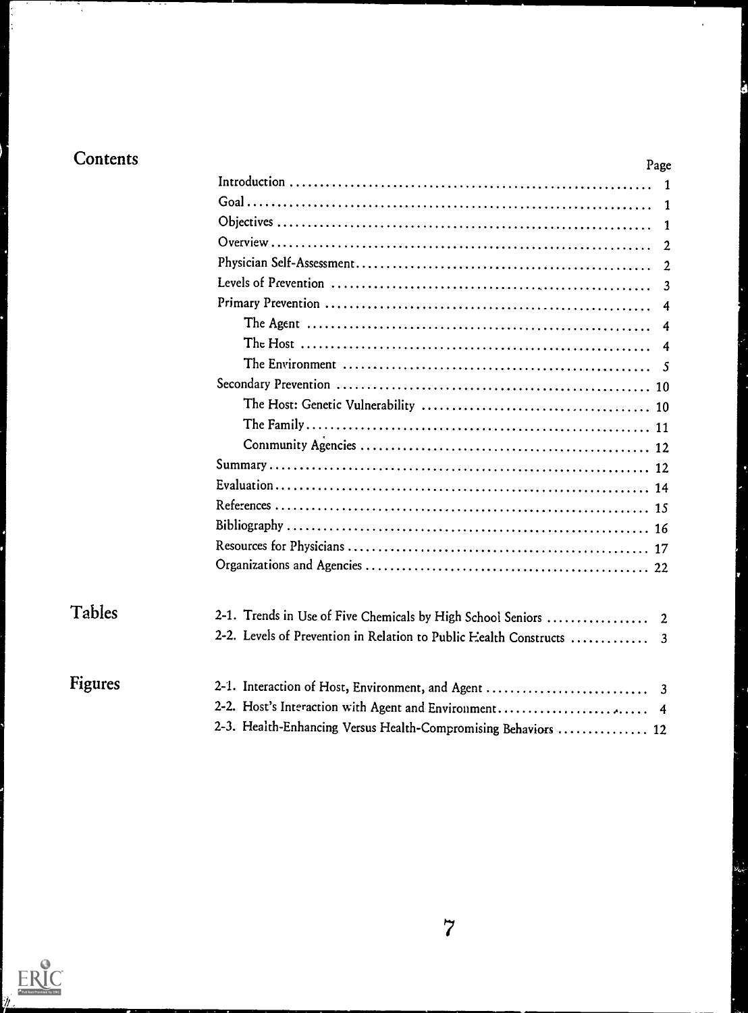Ņ

| Contents | Page                                                                   |
|----------|------------------------------------------------------------------------|
|          |                                                                        |
|          | 1                                                                      |
|          | 1                                                                      |
|          | 2                                                                      |
|          | $\mathbf{2}$                                                           |
|          | $\overline{3}$                                                         |
|          | 4                                                                      |
|          | 4                                                                      |
|          | 4                                                                      |
|          |                                                                        |
|          |                                                                        |
|          |                                                                        |
|          |                                                                        |
|          |                                                                        |
|          |                                                                        |
|          |                                                                        |
|          |                                                                        |
|          |                                                                        |
|          |                                                                        |
|          |                                                                        |
| Tables   |                                                                        |
|          | 2-1. Trends in Use of Five Chemicals by High School Seniors<br>- 2     |
|          | 2-2. Levels of Prevention in Relation to Public Eealth Constructs<br>3 |
| Figures  | 2-1. Interaction of Host, Environment, and Agent<br>3                  |
|          | 2-2. Host's Interaction with Agent and Environment 4                   |
|          | 2-3. Health-Enhancing Versus Health-Compromising Behaviors  12         |
|          |                                                                        |

J

 $\nu_{\rm ex}$ 

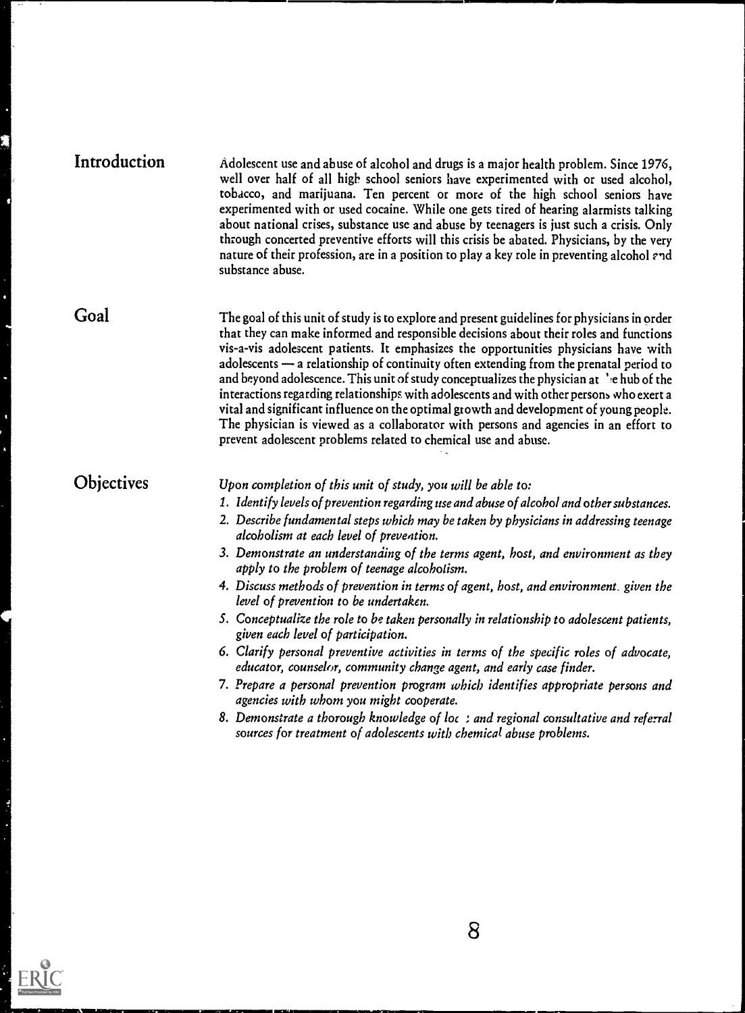| Introduction | Adolescent use and abuse of alcohol and drugs is a major health problem. Since 1976,<br>well over half of all high school seniors have experimented with or used alcohol,<br>tobacco, and marijuana. Ten percent or more of the high school seniors have<br>experimented with or used cocaine. While one gets tired of hearing alarmists talking<br>about national crises, substance use and abuse by teenagers is just such a crisis. Only<br>through concerted preventive efforts will this crisis be abated. Physicians, by the very<br>nature of their profession, are in a position to play a key role in preventing alcohol and<br>substance abuse. |  |
|--------------|-----------------------------------------------------------------------------------------------------------------------------------------------------------------------------------------------------------------------------------------------------------------------------------------------------------------------------------------------------------------------------------------------------------------------------------------------------------------------------------------------------------------------------------------------------------------------------------------------------------------------------------------------------------|--|
|              |                                                                                                                                                                                                                                                                                                                                                                                                                                                                                                                                                                                                                                                           |  |

Goal

The goal of this unit of study is to explore and present guidelines for physicians in order that they can make informed and responsible decisions about their roles and functions vis-a-vis adolescent patients. It emphasizes the opportunities physicians have with adolescents a relationship of continuity often extending from the prenatal period to and beyond adolescence. This unit of study conceptualizes the physician at least be the interactions regarding relationships with adolescents and with other persons who exert a vital and significant influence on the optimal growth and development of young people. The physician is viewed as a collaborator with persons and agencies in an effort to prevent adolescent problems related to chemical use and abuse.

# **Objectives**

Upon completion of this unit of study, you will be able to:

- 1. Identify levels of prevention regarding use and abuse of alcohol and other substances.
- 2. Describe fundamental steps which may be taken by physicians in addressing teenage alcoholism at each level of prevention.
- 3. Demonstrate an understanding of the terms agent, host, and environment as they apply to the problem of teenage alcoholism.
- 4. Discuss methods of prevention in terms of agent, host, and environment. given the level of prevention to be undertaken.
- S. Conceptualize the role to be taken personally in relationship to adolescent patients, given each level of participation.
- 6. Clarify personal preventive activities in terms of the specific roles of advocate, educator, counselor, community change agent, and early case finder.
- 7. Prepare a personal prevention program which identifies appropriate persons and agencies with whom you might cooperate.
- 8. Demonstrate a thorough knowledge of loc ; and regional consultative and referral sources for treatment of adolescents with chemical abuse problems.

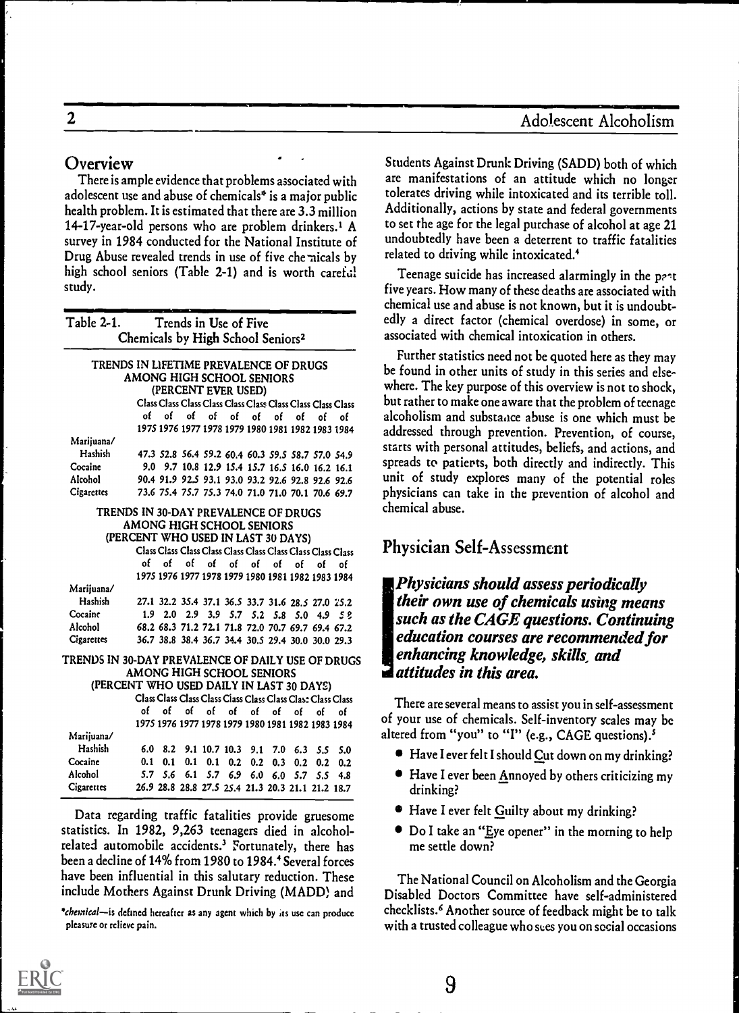# 2 Adolescent Alcoholism

## Overview

There is ample evidence that problems associated with adolescent use and abuse of chemicals\* is a major public health problem. It is estimated that there are 3.3 million 14-17-year-old persons who are problem drinkers.1 A survey in 1984 conducted for the National Institute of Drug Abuse revealed trends in use of five che-aicals by high school seniors (Table 2-1) and is worth careful study.

| Table 2-1.                                        |                                               |                 |          |    | Trends in Use of Five             |    |                 |     |                                                             |                                                             | edly a               |
|---------------------------------------------------|-----------------------------------------------|-----------------|----------|----|-----------------------------------|----|-----------------|-----|-------------------------------------------------------------|-------------------------------------------------------------|----------------------|
|                                                   | Chemicals by High School Seniors <sup>2</sup> |                 |          |    |                                   |    |                 |     |                                                             |                                                             | associ               |
| TRENDS IN LIFETIME PREVALENCE OF DRUGS            |                                               |                 |          |    |                                   |    |                 |     |                                                             |                                                             | Fur                  |
|                                                   | AMONG HIGH SCHOOL SENIORS                     |                 |          |    |                                   |    |                 |     |                                                             |                                                             | be for               |
|                                                   |                                               |                 |          |    | (PERCENT EVER USED)               |    |                 |     |                                                             |                                                             | where                |
|                                                   |                                               |                 |          |    |                                   |    |                 |     |                                                             | Class Class Class Class Class Class Class Class Class Class | but ra               |
|                                                   | of –                                          | of              | of       | of | of                                | of | of              | ٥f  | of                                                          | ٥f                                                          | alcoho               |
|                                                   |                                               |                 |          |    |                                   |    |                 |     |                                                             | 1975 1976 1977 1978 1979 1980 1981 1982 1983 1984           | addres               |
| Marijuana/                                        |                                               |                 |          |    |                                   |    |                 |     |                                                             |                                                             | starts               |
| Hashish                                           |                                               |                 |          |    |                                   |    |                 |     |                                                             | 47.3 52.8 56.4 59.2 60.4 60.3 59.5 58.7 57.0 54.9           |                      |
| Cocaine                                           |                                               |                 |          |    |                                   |    |                 |     | 9.0 9.7 10.8 12.9 15.4 15.7 16.5 16.0 16.2 16.1             |                                                             | spread               |
| Alcohol                                           |                                               |                 |          |    |                                   |    |                 |     | 90.4 91.9 92.5 93.1 93.0 93.2 92.6 92.8 92.6 92.6           |                                                             | unit o               |
| Cigarettes                                        |                                               |                 |          |    |                                   |    |                 |     |                                                             | 73.6 75.4 75.7 75.3 74.0 71.0 71.0 70.1 70.6 69.7           | physic               |
| TRENDS IN 30-DAY PREVALENCE OF DRUGS              |                                               |                 |          |    |                                   |    |                 |     |                                                             |                                                             | chemi                |
|                                                   | AMONG HIGH SCHOOL SENIORS                     |                 |          |    |                                   |    |                 |     |                                                             |                                                             |                      |
|                                                   | (PERCENT WHO USED IN LAST 30 DAYS)            |                 |          |    |                                   |    |                 |     |                                                             |                                                             |                      |
|                                                   |                                               |                 |          |    |                                   |    |                 |     |                                                             | Class Class Class Class Class Class Class Class Class Class | Phys                 |
|                                                   |                                               |                 | of of of |    | of of of                          |    | of              | of  | of                                                          | ٥f                                                          |                      |
|                                                   |                                               |                 |          |    |                                   |    |                 |     | 1975 1976 1977 1978 1979 1980 1981 1982 1983 1984           |                                                             |                      |
| Marijuana/                                        |                                               |                 |          |    |                                   |    |                 |     |                                                             |                                                             | Ph                   |
| Hashish                                           |                                               |                 |          |    |                                   |    |                 |     | 27.1 32.2 35.4 37.1 36.5 33.7 31.6 28.5 27.0 25.2           |                                                             | the                  |
| Cocaine                                           |                                               |                 |          |    |                                   |    |                 |     | 1.9 2.0 2.9 3.9 5.7 5.2 5.8 5.0 4.9 5 2                     |                                                             | <b>SU</b>            |
| Alcohol                                           |                                               |                 |          |    |                                   |    |                 |     | 68.2 68.3 71.2 72.1 71.8 72.0 70.7 69.7 69.4 67.2           |                                                             |                      |
| Cigarcues                                         |                                               |                 |          |    |                                   |    |                 |     | 36.7 38.8 38.4 36.7 34.4 30.5 29.4 30.0 30.0 29.3           |                                                             | edi                  |
| TRENDS IN 30-DAY PREVALENCE OF DAILY USE OF DRUGS |                                               |                 |          |    |                                   |    |                 |     |                                                             |                                                             | en                   |
|                                                   | AMONG HIGH SCHOOL SENIORS                     |                 |          |    |                                   |    |                 |     |                                                             |                                                             | $\boldsymbol{d}$ att |
| (PERCENT WHO USED DAILY IN LAST 30 DAYS)          |                                               |                 |          |    |                                   |    |                 |     |                                                             |                                                             |                      |
|                                                   |                                               |                 |          |    |                                   |    |                 |     | Class Class Class Class Class Class Class Class Class Class |                                                             |                      |
|                                                   | of                                            | of              | of       | of | of                                | of | of              | of  | of                                                          | ٥f                                                          | $\rm The$            |
|                                                   |                                               |                 |          |    |                                   |    |                 |     | 1975 1976 1977 1978 1979 1980 1981 1982 1983 1984           |                                                             | of you               |
| Marijuana/                                        |                                               |                 |          |    |                                   |    |                 |     |                                                             |                                                             | altered              |
| Hashish                                           |                                               |                 |          |    | 6.0 8.2 9.1 10.7 10.3 9.1 7.0 6.3 |    |                 |     |                                                             | $5.5\quad 5.0$                                              | $\bullet$ [          |
| Cocaine                                           |                                               | $0.1 \quad 0.1$ |          |    | $0.1$ 0.1 0.2                     |    | $0.2 \quad 0.3$ | 0.2 |                                                             | $0.2 \quad 0.2$                                             |                      |
| Alcohol                                           |                                               | $5.7\quad 5.6$  | 6.1      |    | $5.7$ 6.9 6.0 6.0 5.7             |    |                 |     |                                                             | $5.5$ 4.8                                                   | $\mathbf{F}$         |
| Cigarettes                                        |                                               |                 |          |    |                                   |    |                 |     | 26.9 28.8 28.8 27.5 25.4 21.3 20.3 21.1 21.2 18.7           |                                                             | d                    |

Data regarding traffic fatalities provide gruesome statistics. In 1982, 9,263 teenagers died in alcoholrelated automobile accidents.' Fortunately, there has been a decline of 14% from 1980 to 1984.<sup>4</sup> Several forces have been influential in this salutary reduction. These include Mothers Against Drunk Driving (MADD) and

\*chemical-is defined hereafter as any agent which by its use can produce pleasure or relieve pain.

Students Against Drunk Driving (SADD) both of which are manifestations of an attitude which no longer tolerates driving while intoxicated and its terrible toll. Additionally, actions by state and federal governments to set the age for the legal purchase of alcohol at age 21 undoubtedly have been a deterrent to traffic fatalities related to driving while intoxicated.'

Teenage suicide has increased alarmingly in the past five years. How many of these deaths are associated with chemical use and abuse is not known, but it is undoubtedly a direct factor (chemical overdose) in some, or associated with chemical intoxication in others.

1984 addressed through prevention. Prevention, of course, Further statistics need not be quoted here as they may be found in other units of study in this series and elsewhere. The key purpose of this overview is not to shock, but rather to make one aware that the problem of teenage alcoholism and substaace abuse is one which must be starts with personal attitudes, beliefs, and actions, and spreads to patierts, both directly and indirectly. This unit of study explores many of the potential roles physicians can take in the prevention of alcohol and chemical abuse.

# Physician Self-Assessment

Physicians should assess periodically their own use of chemicals using means such as the CAGE questions. Continuing education courses are recommended for enhancing knowledge, skills, and **a** attitudes in this area.

1984  $\sim$  1984 and  $\sim$  chemically be interested from "you" to "I" (e.g., CAGE questions).<sup>5</sup> There are several means to assist you in self-assessment of your use of chemicals. Self-inventory scales may be

- Have I ever felt I should Cut down on my drinking?
- Have I ever been Annoyed by others criticizing my drinking?
- Have I ever felt Guilty about my drinking?
- Do I take an "Eye opener" in the morning to help me settle down?

The National Council on Alcoholism and the Georgia Disabled Doctors Committee have self-administered checklists.' Another source of feedback might be to talk with a trusted colleague who sees you on social occasions

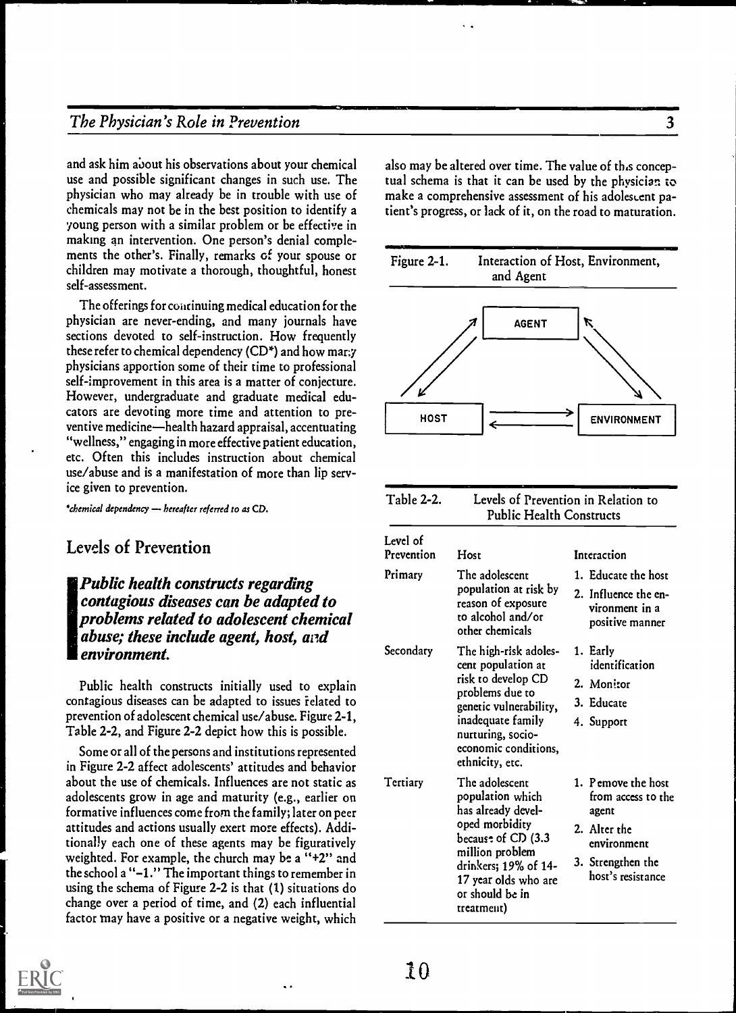# The Physician's Role in Prevention 3

and ask him about his observations about your chemical use and possible significant changes in such use. The physician who may already be in trouble with use of chemicals may not be in the best position to identify a young person with a similar problem or be effective in making an intervention. One person's denial complements the other's. Finally, remarks of your spouse or Figure 2-1. children may motivate a thorough, thoughtful, honest self-assessment.

The offerings for continuing medical education for the physician are never-ending, and many journals have sections devoted to self-instruction. How frequently these refer to chemical dependency ( $CD^*$ ) and how many physicians apportion some of their time to professional self-improvement in this area is a matter of conjecture. However, undergraduate and graduate medical educators are devoting more time and attention to preventive medicine—health hazard appraisal, accentuating "wellness," engaging in more effective patient education, etc. Often this includes instruction about chemical use/abuse and is a manifestation of more than lip service given to prevention.

\*chemical dependency - hereafter referred to as CD.

# Levels of Prevention

# Public health constructs regarding The Refunding contagious diseases can be adapted to problems related to adolescent chemical abuse; these include agent, host, and environment.

Public health constructs initially used to explain contagious diseases can be adapted to issues related to prevention of adolescent chemical use/abuse. Figure 2-1, Table 2-2, and Figure 2-2 depict how this is possible.

Some or all of the persons and institutions represented in Figure 2-2 affect adolescents' attitudes and behavior about the use of chemicals. Influences are not static as adolescents grow in age and maturity (e.g., earlier on formative influences come from the family; later on peer attitudes and actions usually exert more effects). Additionally each one of these agents may be figuratively weighted. For example, the church may be a "+2" and the school a "-1." The important things to remember in using the schema of Figure 2-2 is that (1) situations do change over a period of time, and (2) each influential factor may have a positive or a negative weight, which

also may be altered over time. The value of this conceptual schema is that it can be used by the physician to make a comprehensive assessment of his adolescent patient's progress, or lack of it, on the road to maturation.





10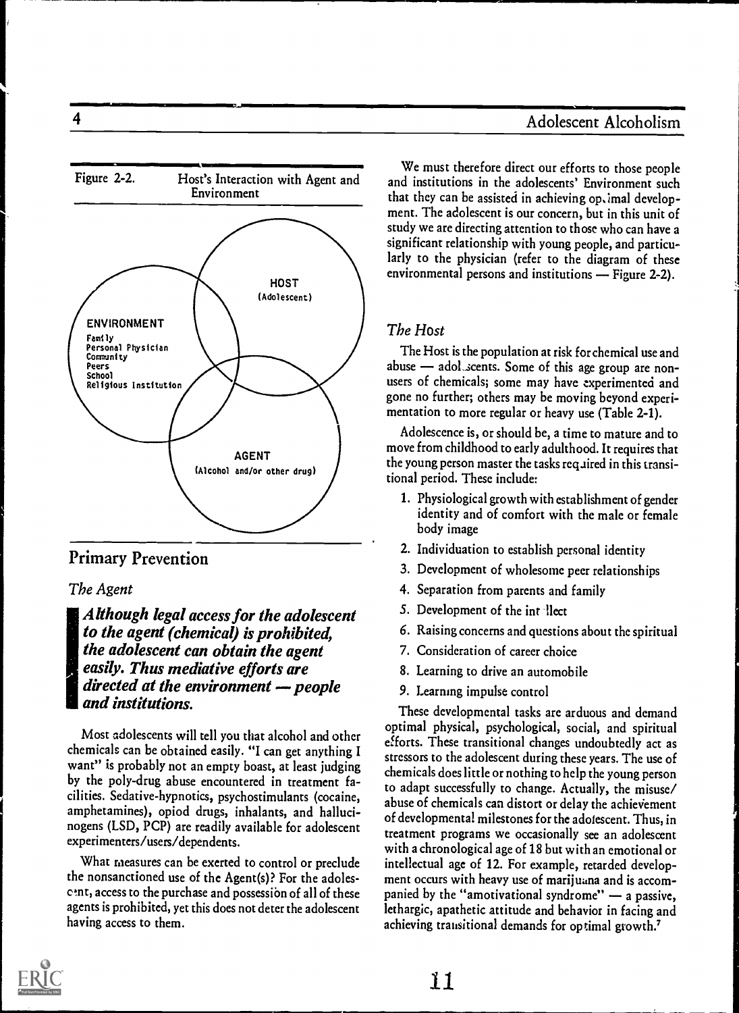# 4 Adolescent Alcoholism



Primary Prevention

#### The Agent

!Although legal access for the adolescent to the agent (chemical) is prohibited, the adolescent can obtain the agent easily. Thus mediative efforts are directed at the environment  $-p$  people and institutions.

Most adolescents will tell you that alcohol and other chemicals can be obtained easily. "I can get anything I want" is probably not an empty boast, at least judging by the poly-drug abuse encountered in treatment facilities. Sedative-hypnotics, psychostimulants (cocaine, amphetamines), opiod drugs, inhalants, and hallucinogens (LSD, PCP) are readily available for adolescent experimenters/users/dependents.

What measures can be exerted to control or preclude the nonsanctioned use of the Agent(s)? For the adolesc tnt, access to the purchase and possessibn of all of these agents is prohibited, yet this does not deter the adolescent having access to them.

We must therefore direct our efforts to those people and institutions in the adolescents' Environment such that they can be assisted in achieving optimal development. The adolescent is our concern, but in this unit of study we are directing attention to those who can have a significant relationship with young people, and particularly to the physician (refer to the diagram of these environmental persons and institutions  $-$  Figure 2-2).

## The Host

The Host is the population at risk for chemical use and abuse - adol scents. Some of this age group are nonusers of chemicals; some may have experimented and gone no further; others may be moving beyond experimentation to more regular or heavy use (Table 2-1).

Adolescence is, or should be, a time to mature and to move from childhood to early adulthood. It requires that the young person master the tasks required in this transitional period. These include:

- 1. Physiological growth with establishment of gender identity and of comfort with the male or female body image
- 2. Individuation to establish personal identity
- 3. Development of wholesome peer relationships
- 4. Separation from parents and family
- 5. Development of the intellect
- 6. Raising concerns and questions about the spiritual
- 7. Consideration of career choice
- 8. Learning to drive an automobile
- 9. Learning impulse control

These developmental tasks are arduous and demand optimal physical, psychological, social, and spiritual efforts. These transitional changes undoubtedly act as stressors to the adolescent during these years. The use of chemicals does little or nothing to help the young person to adapt successfully to change. Actually, the misuse/ abuse of chemicals can distort or delay the achievement of developmental milestones for the adolescent. Thus, in treatment programs we occasionally see an adolescent with a chronological age of 18 but with an emotional or intellectual age of 12. For example, retarded development occurs with heavy use of marijuana and is accompanied by the "amotivational syndrome"  $-$  a passive, lethargic, apathetic attitude and behavior in facing and achieving transitional demands for optimal growth.<sup>7</sup>

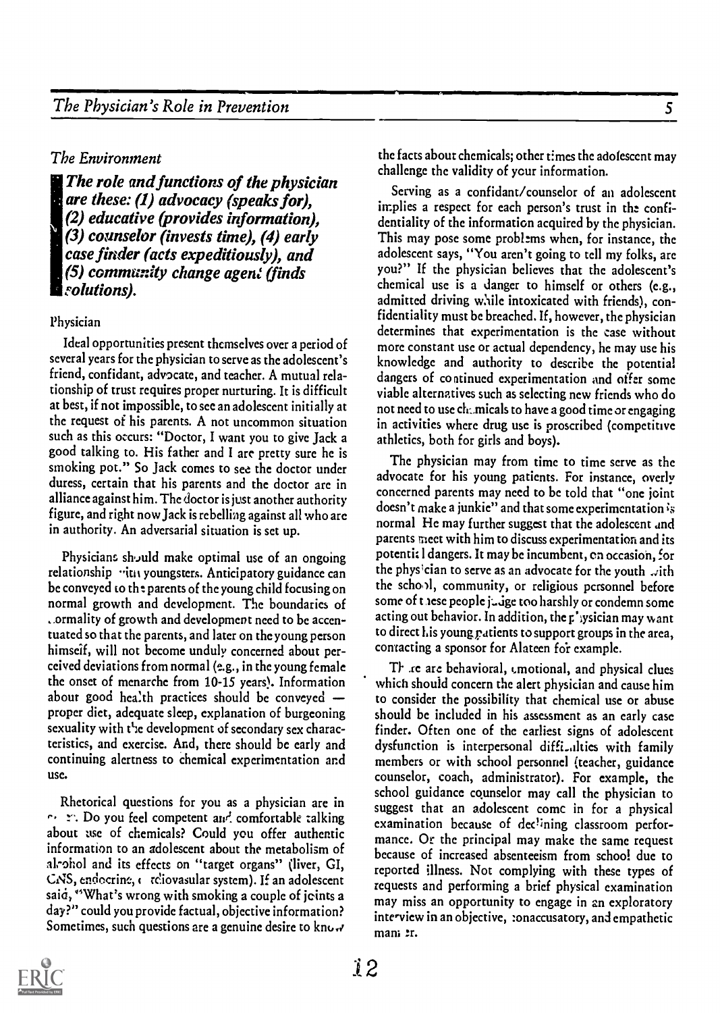#### The Environment

The role and functions of the physician are these: (1) advocacy (speaks for), (2) educative (provides information), (3) counselor (invests time), (4) early case finder (acts expeditiously), and  $(5)$  community change agent (finds *solutions*).

#### Physician

Ideal opportunities present themselves over a period of several years for the physician to serve as the adolescent's friend, confidant, advocate, and teacher. A mutual relationship of trust requires proper nurturing. It is difficult at best, if not impossible, to sec an adolescent initially at the request of his parents. A not uncommon situation such as this occurs: "Doctor, I want you to give Jack a good talking to. His father and I are pretty sure he is smoking pot." So Jack comes to see the doctor under duress, certain that his parents and the doctor are in alliance against him. The doctor is just another authority figure, and right now Jack is rebelling against all who are in authority. An adversarial situation is set up.

Physicians sh,Juld make optimal use of an ongoing relationship "iti youngsters. Anticipatory guidance can be conveyed co the parents of the young child focusing on normal growth and development. The boundaries of ..ormality of growth and development need to be accentuated so that the parents, and later on the young person himself, will not become unduly concerned about perceived deviations from normal (e.g., in the young female the onset of menarche from 10-15 years). Information about good health practices should be conveyed proper diet, adequate sleep, explanation of burgeoning sexuality with the development of secondary sex characteristics, and exercise. And, there should be early and continuing alertness to chemical experimentation and use.

Rhetorical questions for you as a physician are in  $\cdots$ .  $\cdots$ . Do you feel competent and comfortable talking about use of chemicals? Could you offer authentic information to an adolescent about the metabolism of alrohol and its effects on "target organs" (liver, GI, CNS, endocrine, c reliovasular system). If an adolescent said, "What's wrong with smoking a couple of joints a day?" could you provide factual, objective information? Sometimes, such questions are a genuine desire to know the facts about chemicals; other times the adolescent may challenge the validity of your information.

Serving as a confidant/counselor of an adolescent implies a respect for each person's trust in the confidentiality of the information acquired by the physician. This may pose some problems when, for instance, the adolescent says, "You aren't going to tell my folks, are you?" If the physician believes that the adolescent's chemical use is a danger to himself or others (e.g., admitted driving while intoxicated with friends), confidentiality must be breached. If, however, the physician determines that experimentation is the case without more constant use or actual dependency, he may use his knowledge and authority to describe the potential dangers of continued experimentation and offer some viable alternatives such as selecting new friends who do not need to use chamicals to have a good time or engaging in activities where drug use is proscribed (competitive athletics, both for girls and boys).

The physician may from time to time serve as the advocate for his young patients. For instance, overly concerned parents may need to be told that "one joint doesn't make a junkie" and that some experimentation is normal He may further suggest that the adolescent and parents meet with him to discuss experimentation and its potentic 1 dangers. It may be incumbent, en occasion, for the physician to serve as an advocate for the youth  $\omega$ ith the scho)1, community, or religious personnel before some of these people judge too harshly or condemn some acting out behavior. In addition, the plysician may want to direct his young patients to support groups in the area, contacting a sponsor for Alateen for example.

TI. ,re arc behavioral, emotional, and physical clues which should concern the alert physician and cause him to consider the possibility that chemical use or abuse should be included in his assessment as an early case finder. Often one of the earliest signs of adolescent dysfunction is interpersonal diffi\_alties with family members or with school personnel (teacher, guidance counselor, coach, administrator). For example, the school guidance counselor may call the physician to suggest that an adolescent comc in for a physical examination because of declining classroom performance. Or the principal may make the same request because of increased absenteeism from school due to reported illness. Not complying with these types of requests and performing a brief physical examination may miss an opportunity to engage in an exploratory interview in an objective, :onaccusatory, and empathetic man; er.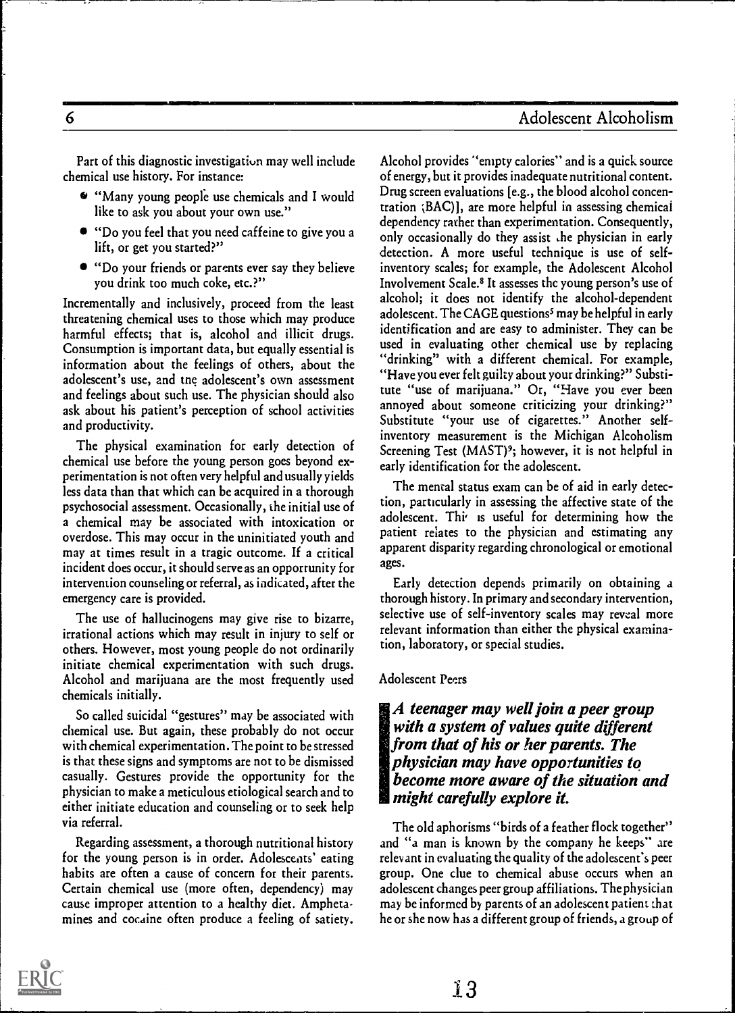Part of this diagnostic investigation may well include chemical use history. For instance:

- 6 "Many young people use chemicals and I would like to ask you about your own use."
- "Do you feel that you need caffeine to give you a lift, or get you started?"
- "Do your friends or parents ever say they believe you drink too much coke, etc.?"

Incrementally and inclusively, proceed from the least threatening chemical uses to those which may produce harmful effects; that is, alcohol and illicit drugs. Consumption is important data, but equally essential is information about the feelings of others, about the adolescent's use, and the adolescent's own assessment and feelings about such use. The physician should also ask about his patient's perception of school activities and productivity.

The physical examination for early detection of chemical use before the young person goes beyond experimentation is not often very helpful and usually yields less data than that which can be acquired in a thorough psychosocial assessment. Occasionally, the initial use of a chemical may be associated with intoxication or overdose. This may occur in the uninitiated youth and may at times result in a tragic outcome. If a critical incident does occur, it should serve as an opportunity for intervention counseling or referral, as indicated, after the emergency care is provided.

The use of hallucinogens may give rise to bizarre, irrational actions which may result in injury to self or others. However, most young people do not ordinarily initiate chemical experimentation with such drugs. Alcohol and marijuana are the most frequently used chemicals initially.

So called suicidal "gestures" may be associated with chemical use. But again, these probably do not occur with chemical experimentation. The point to be stressed is that these signs and symptoms are not to be dismissed casually. Gestures provide the opportunity for the physician to make a meticulous etiological search and to either initiate education and counseling or to seek help via referral.

Regarding assessment, a thorough nutritional history for the young person is in order. Adolescents' eating habits are often a cause of concern for their parents. Certain chemical use (more often, dependency) may cause improper attention to a healthy diet. Amphetamines and cocaine often produce a feeling of satiety.

Alcohol provides "empty calories" and is a quick source of energy, but it provides inadequate nutritional content. Drug screen evaluations [e.g., the blood alcohol concentration ;BAC)], are more helpful in assessing chemical dependency rather than experimentation. Consequently, only occasionally do they assist he physician in early detection. A more useful technique is use of selfinventory scales; for example, the Adolescent Alcohol Involvement Scale.8 It assesses the young person's use of alcohol; it does not identify the alcohol-dependent adolescent. The CAGE questions<sup>5</sup> may be helpful in early identification and are easy to administer. They can be used in evaluating other chemical use by replacing "drinking" with a different chemical. For example, "Have you ever felt guilty about your drinking?" Substitute "use of marijuana." Or, "Have you ever been annoyed about someone criticizing your drinking?" Substitute "your use of cigarettes." Another selfinventory measurement is the Michigan Alcoholism Screening Test  $(MAST)$ <sup>9</sup>; however, it is not helpful in early identification for the adolescent.

The mental status exam can be of aid in early detection, particularly in assessing the affective state of the adolescent. Thi is useful for determining how the patient relates to the physician and estimating any apparent disparity regarding chronological or emotional ages.

Early detection depends primarily on obtaining a thorough history. In primary and secondary intervention, selective use of self-inventory scales may reveal more relevant information than either the physical examination, laboratory, or special studies.

#### Adolescent Peers

## A teenager may well join a peer group with a system of values quite different from that of his or her parents. The physician may have opportunities to become more aware of the situation and might carefully explore it.

The old aphorisms "birds of a feather flock together" and "a man is known by the company he keeps" are relevant in evaluating the quality of the adolescent's peer group. One clue to chemical abuse occurs when an adolescent changes peer group affiliations. The physician may be informed by parents of an adolescent patient that he or she now has a different group of friends, a group of

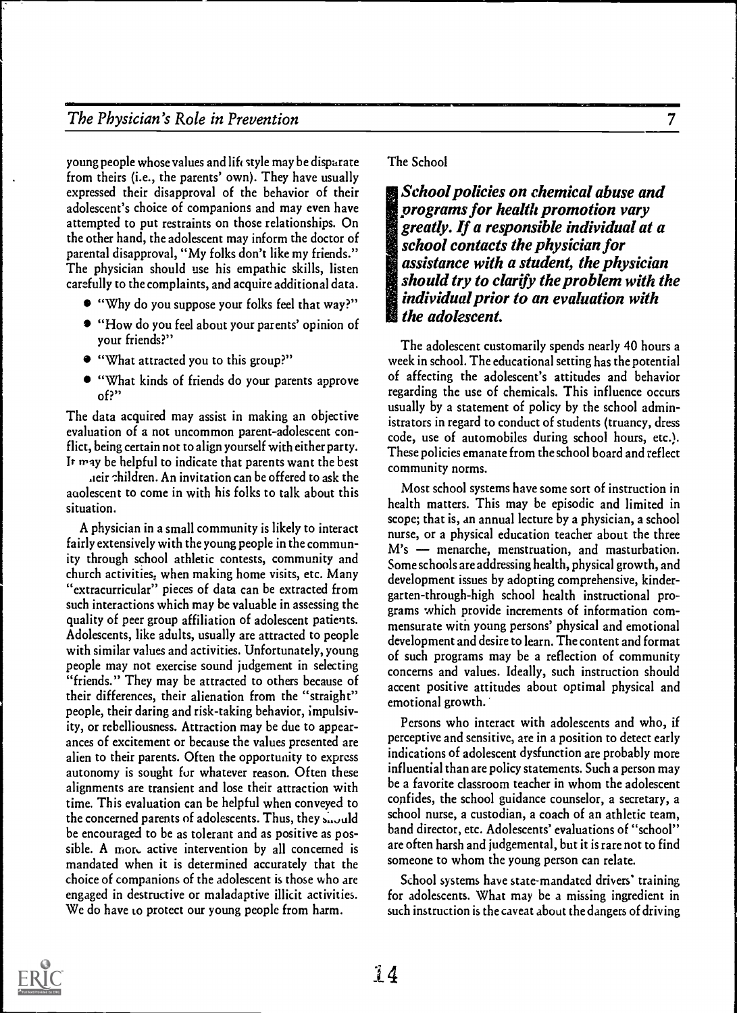# The Physician's Role in Prevention 7

young people whose values and lift style may be disparate from theirs (i.e., the parents' own). They have usually expressed their disapproval of the behavior of their adolescent's choice of companions and may even have attempted to put restraints on those relationships. On the other hand, the adolescent may inform the doctor of parental disapproval, "My folks don't like my friends." The physician should use his empathic skills, listen carefully to the complaints, and acquire additional data.

- "Why do you suppose your folks feel that way?"
- "How do you feel about your parents' opinion of your friends?"
- "What attracted you to this group?"
- "What kinds of friends do your parents approve of?"

The data acquired may assist in making an objective evaluation of a not uncommon parent-adolescent conflict, being certain not to align yourself with either party. It may be helpful to indicate that parents want the best

.ieir -thildren. An invitation can be offered to ask the aoolescent to come in with his folks to talk about this situation.

A physician in a small community is likely to interact fairly extensively with the young people in the community through school athletic contests, community and church activities; when making home visits, etc. Many "extracurricular" pieces of data can be extracted from such interactions which may be valuable in assessing the quality of peer group affiliation of adolescent patients. Adolescents, like adults, usually are attracted to people with similar values and activities. Unfortunately, young people may not exercise sound judgement in selecting "friends." They may be attracted to others because of their differences, their alienation from the "straight" people, their daring and risk-taking behavior, impulsivity, or rebelliousness. Attraction may be due to appearances of excitement or because the values presented are alien to their parents. Often the opportunity to express autonomy is sought for whatever reason. Often these alignments are transient and lose their attraction with time. This evaluation can be helpful when conveyed to the concerned parents of adolescents. Thus, they should be encouraged to be as tolerant and as positive as possible. A more active intervention by all concerned is mandated when it is determined accurately that the choice of companions of the adolescent is those who are engaged in destructive or maladaptive illicit activities. We do have to protect our young people from harm.

#### The School

School policies on chemical abuse and programs for health promotion vary greatly. If a responsible individual at a school contacts the physician for assistance with a student, the physician should try to clarify the problem with the individual prior to an evaluation with the adolescent.

The adolescent customarily spends nearly 40 hours a week in school. The educational setting has the potential of affecting the adolescent's attitudes and behavior regarding the use of chemicals. This influence occurs usually by a statement of policy by the school administrators in regard to conduct of students (truancy, dress code, use of automobiles during school hours, etc.). These policies emanate from the school board and reflect community norms.

Most school systems have some sort of instruction in health matters. This may be episodic and limited in scope; that is, an annual lecture by a physician, a school nurse, or a physical education teacher about the three M's - menarche, menstruation, and masturbation. Some schools are addressing health, physical growth, and development issues by adopting comprehensive, kindergarten-through-high school health instructional programs which provide increments of information commensurate with young persons' physical and emotional development and desire to learn. The content and format of such programs may be a reflection of community concerns and values. Ideally, such instruction should accent positive attitudes about optimal physical and emotional growth..

Persons who interact with adolescents and who, if perceptive and sensitive, are in a position to detect early indications of adolescent dysfunction are probably more influential than are policy statements. Such a person may be a favorite classroom teacher in whom the adolescent confides, the school guidance counselor, a secretary, a school nurse, a custodian, a coach of an athletic team, band director, etc. Adolescents' evaluations of "school" are often harsh and judgemental, but it is rare not to find someone to whom the young person can relate.

School systems have state-mandated drivers' training for adolescents. What may be a missing ingredient in such instruction is the caveat about the dangers of driving

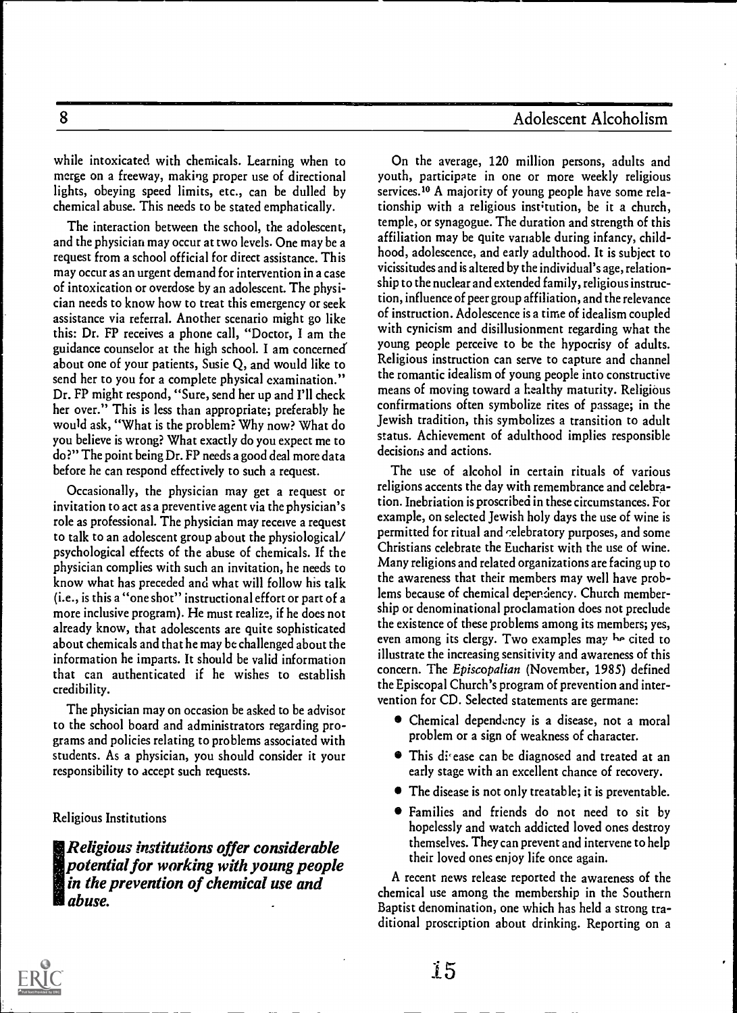# 8 Adolescent Alcoholism

while intoxicated with chemicals. Learning when to merge on a freeway, making proper use of directional lights, obeying speed limits, etc., can be dulled by chemical abuse. This needs to be stated emphatically.

The interaction between the school, the adolescent, and the physician may occur at two levels. One may be a request from a school official for direct assistance. This may occur as an urgent demand for intervention in a case of intoxication or overdose by an adolescent. The physician needs to know how to treat this emergency or seek assistance via referral. Another scenario might go like this: Dr. FP receives a phone call, "Doctor, I am the guidance counselor at the high school. I am concerned' about one of your patients, Susie Q, and would like to send her to you for a complete physical examination." Dr. FP might respond, "Sure, send her up and I'll check her over." This is less than appropriate; preferably he would ask, "What is the problem? Why now? What do you believe is wrong? What exactly do you expect me to do?" The point being Dr. FP needs a good deal more data before he can respond effectively to such a request.

Occasionally, the physician may get a request or invitation to act as a preventive agent via the physician's role as professional. The physician may receive a request to talk to an adolescent group about the physiological/ psychological effects of the abuse of chemicals. If the physician complies with such an invitation, he needs to know what has preceded and what will follow his talk (i.e., is this a "one shot" instructional effort or part of a more inclusive program). He must realize, if he does not already know, that adolescents are quite sophisticated about chemicals and that he may be challenged about the information he imparts. It should be valid information that can authenticated if he wishes to establish credibility.

The physician may on occasion be asked to be advisor to the school board and administrators regarding programs and policies relating to problems associated with students. As a physician, you should consider it your responsibility to accept such requests.

Religious Institutions

Religious institutions offer considerable potential for working with young people in the prevention of chemical use and abuse.

On the average, 120 million persons, adults and youth, participate in one or more weekly religious services.<sup>10</sup> A majority of young people have some relationship with a religious institution, be it a church, temple, or synagogue. The duration and strength of this affiliation may be quite variable during infancy, childhood, adolescence, and early adulthood. It is subject to vicissitudes and is altered by the individual's age, relationship to the nuclear and extended family, religious instruction, influence of peer group affiliation, and the relevance of instruction. Adolescence is a time of idealism coupled with cynicism and disillusionment regarding what the young people perceive to be the hypocrisy of adults. Religious instruction can serve to capture and channel the romantic idealism of young people into constructive means of moving toward a healthy maturity. Religious confirmations often symbolize rites of passage; in the Jewish tradition, this symbolizes a transition to adult status. Achievement of adulthood implies responsible decisions and actions.

The use of alcohol in certain rituals of various religions accents the day with remembrance and celebration. Inebriation is proscribed in these circumstances. For example, on selected Jewish holy days the use of wine is permitted for ritual and celebratory purposes, and some Christians celebrate the Eucharist with the use of wine. Many religions and related organizations are facing up to the awareness that their members may well have problems because of chemical dependency. Church membership or denominational proclamation does not preclude the existence of these problems among its members; yes, even among its clergy. Two examples may be cited to illustrate the increasing sensitivity and awareness of this concern. The Episcopalian (November, 1985) defined the Episcopal Church's program of prevention and intervention for CD. Selected statements are germane:

- Chemical dependency is a disease, not a moral problem or a sign of weakness of character.
- **•** This disease can be diagnosed and treated at an early stage with an excellent chance of recovery.
- The disease is not only treatable; it is preventable.
- Families and friends do not need to sit by hopelessly and watch addicted loved ones destroy themselves. They can prevent and intervene to help their loved ones enjoy life once again.

A recent news release reported the awareness of the chemical use among the membership in the Southern Baptist denomination, one which has held a strong traditional proscription about drinking. Reporting on a

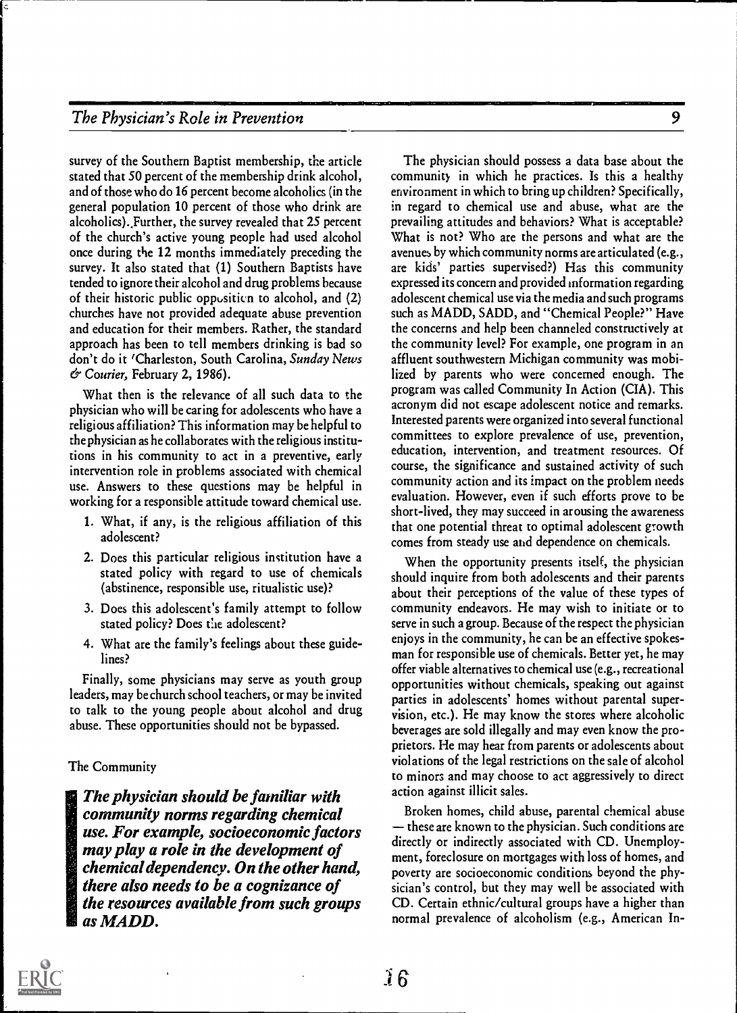recommendations of the contract of the contract of the contract of the contract of the contract of the contract of the contract of the contract of the contract of the contract of the contract of the contract of the contrac

survey of the Southern Baptist membership, the article stated that 50 percent of the membership drink alcohol, and of those who do 16 percent become alcoholics (in the general population 10 percent of those who drink are alcoholics)., Further, the survey revealed that 25 percent of the church's active young people had used alcohol once during the 12 months immediately preceding the survey. It also stated that (1) Southern Baptists have tended to ignore their alcohol and drug problems because of their historic public opposition to alcohol, and (2) churches have not provided adequate abuse prevention and education for their members. Rather, the standard approach has been to tell members drinking is bad so don't do it 'Charleston, South Carolina, Sunday News & Courier, February 2, 1986).

What then is the relevance of all such data to the physician who will be caring for adolescents who have a religious affiliation? This information may be helpful to the physician as he collaborates with the religious institutions in his community to act in a preventive, early intervention role in problems associated with chemical use. Answers to these questions may be helpful in working for a responsible attitude toward chemical use.

- 1. What, if any, is the religious affiliation of this adolescent?
- 2. Does this particular religious institution have a stated policy with regard to use of chemicals (abstinence, responsible use, ritualistic use)?
- 3. Does this adolescent's family attempt to follow stated policy? Does the adolescent?
- 4. What are the family's feelings about these guidelines?

Finally, some physicians may serve as youth group leaders, may be church school teachers, or may be invited to talk to the young people about alcohol and drug abuse. These opportunities should not be bypassed.

#### The Community

The physician should be familiar with community norms regarding chemical use. For example, socioeconomic factors may play a role in the development of chemical dependency. On the other hand, there also needs to be a cognizance of the resources available from such groups as MADD.

The physician should possess a data base about the community in which he practices. Is this a healthy environment in which to bring up children? Specifically, in regard to chemical use and abuse, what are the prevailing attitudes and behaviors? What is acceptable? What is not? Who are the persons and what are the avenues by which community norms are articulated (e.g., are kids' parties supervised?) Has this community expressed its concern and provided information regarding adolescent chemical use via the media and such programs such as MADD, SADD, and "Chemical People?" Have the concerns and help been channeled constructively at the community level? For example, one program in an affluent southwestern Michigan community was mobilized by parents who were concerned enough. The program was called Community In Action (CIA). This acronym did not escape adolescent notice and remarks. Interested parents were organized into several functional committees to explore prevalence of use, prevention, education, intervention, and treatment resources. Of course, the significance and sustained activity of such community action and its impact on the problem needs evaluation. However, even if such efforts prove to be short-lived, they may succeed in arousing the awareness that one potential threat to optimal adolescent growth comes from steady use and dependence on chemicals.

When the opportunity presents itself, the physician should inquire from both adolescents and their parents about their perceptions of the value of these types of community endeavors. He may wish to initiate or to serve in such a group. Because of the respect the physician enjoys in the community, he can be an effective spokesman for responsible use of chemicals. Better yet, he may offer viable alternatives to chemical use (e.g., recreational opportunities without chemicals, speaking out against parties in adolescents' homes without parental supervision, etc.). He may know the stores where alcoholic beverages are sold illegally and may even know the proprietors. He may hear from parents or adolescents about violations of the legal restrictions on the sale of alcohol to minors and may choose to act aggressively to direct action against illicit sales.

Broken homes, child abuse, parental chemical abuse  $t$  these are known to the physician. Such conditions are directly or indirectly associated with CD. Unemployment, foreclosure on mortgages with loss of homes, and poverty are socioeconomic conditions beyond the physician's control, but they may well be associated with CD. Certain ethnic/cultural groups have a higher than normal prevalence of alcoholism (e.g., American In-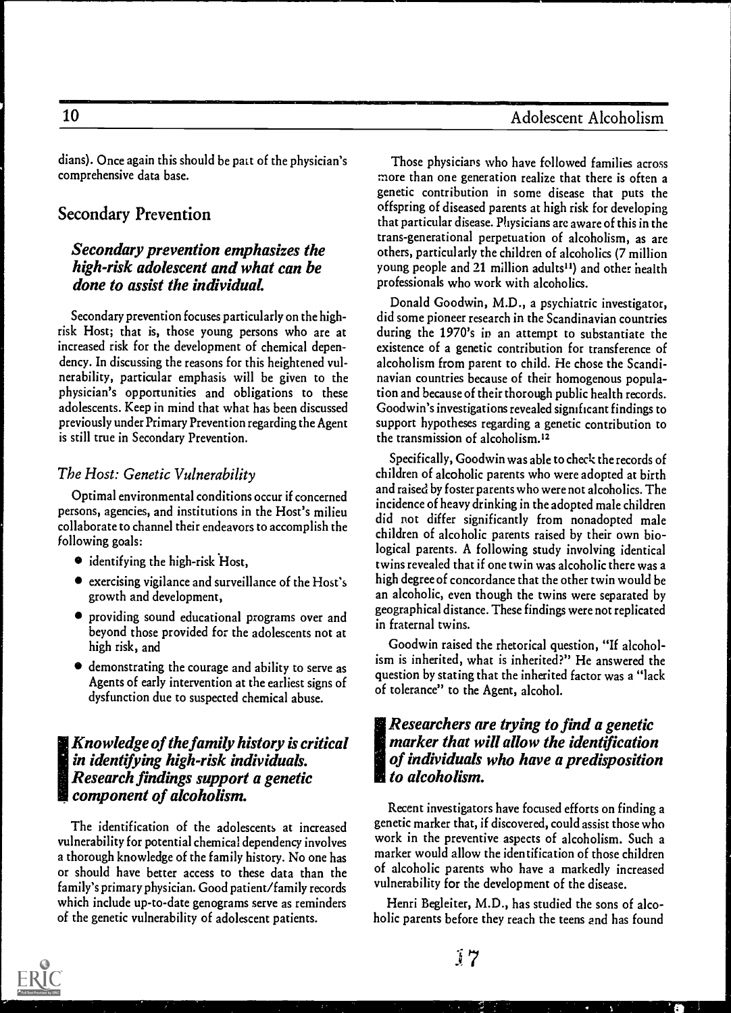# 10 Adolescent Alcoholism

dians). Once again this should be pact of the physician's comprehensive data base.

# Secondary Prevention

## Secondary prevention emphasizes the high-risk adolescent and what can be done to assist the individual.

Secondary prevention focuses particularly on the highrisk Host; that is, those young persons who are at increased risk for the development of chemical dependency. In discussing the reasons for this heightened vulnerability, particular emphasis will be given to the physician's opportunities and obligations to these adolescents. Keep in mind that what has been discussed previously under Primary Prevention regarding the Agent is still true in Secondary Prevention.

#### The Host: Genetic Vulnerability

Optimal environmental conditions occur if concerned persons, agencies, and institutions in the Host's milieu collaborate to channel their endeavors to accomplish the following goals:

- identifying the high-risk Host,
- exercising vigilance and surveillance of the Host's growth and development,
- providing sound educational programs over and beyond those provided for the adolescents not at high risk, and
- demonstrating the courage and ability to serve as Agents of early intervention at the earliest signs of dysfunction due to suspected chemical abuse.

## IKnowledge of the family history is critical in identifying high-risk individuals. Research findings support a genetic component of alcoholism.

The identification of the adolescents at increased vulnerability for potential chemical dependency involves a thorough knowledge of the family history. No one has or should have better access to these data than the family's primary physician. Good patient/family records which include up-to-date genograms serve as reminders of the genetic vulnerability of adolescent patients.

Those physicians who have followed families across more than one generation realize that there is often a genetic contribution in some disease that puts the offspring of diseased parents at high risk for developing that particular disease. Physicians are aware of this in the trans-generational perpetuation of alcoholism, as are others, particularly the children of alcoholics (7 million young people and 21 million adults<sup>11</sup>) and other health professionals who work with alcoholics.

Donald Goodwin, M.D., a psychiatric investigator, did some pioneer research in the Scandinavian countries during the 1970's in an attempt to substantiate the existence of a genetic contribution for transference of alcoholism from parent to child. He chose the Scandinavian countries because of their homogenous population and because of their thorough public health records. Goodwin's investigations revealed significant findings to support hypotheses regarding a genetic contribution to the transmission of alcoholism.<sup>12</sup>

Specifically, Goodwin was able to check the records of children of alcoholic parents who were adopted at birth and raised by foster parents who were not alcoholics. The incidence of heavy drinking in the adopted male children did not differ significantly from nonadopted male children of alcoholic parents raised by their own biological parents. A following study involving identical twins revealed that if one twin was alcoholic there was a high degree of concordance that the other twin would be an alcoholic, even though the twins were separated by geographical distance. These findings were not replicated in fraternal twins.

Goodwin raised the rhetorical question, "If alcoholism is inherited, what is inherited?" He answered the question by stating that the inherited factor was a "lack of tolerance" to the Agent, alcohol.

#### !Researchers are trying to find a genetic marker that will allow the identification of individuals who have a predisposition **to alcoholism.**

Recent investigators have focused efforts on finding a genetic marker that, if discovered, could assist those who work in the preventive aspects of alcoholism. Such a marker would allow the identification of those children of alcoholic parents who have a markedly increased vulnerability for the development of the disease.

Henri Begleiter, M.D., has studied the sons of alcoholic parents before they reach the teens and has found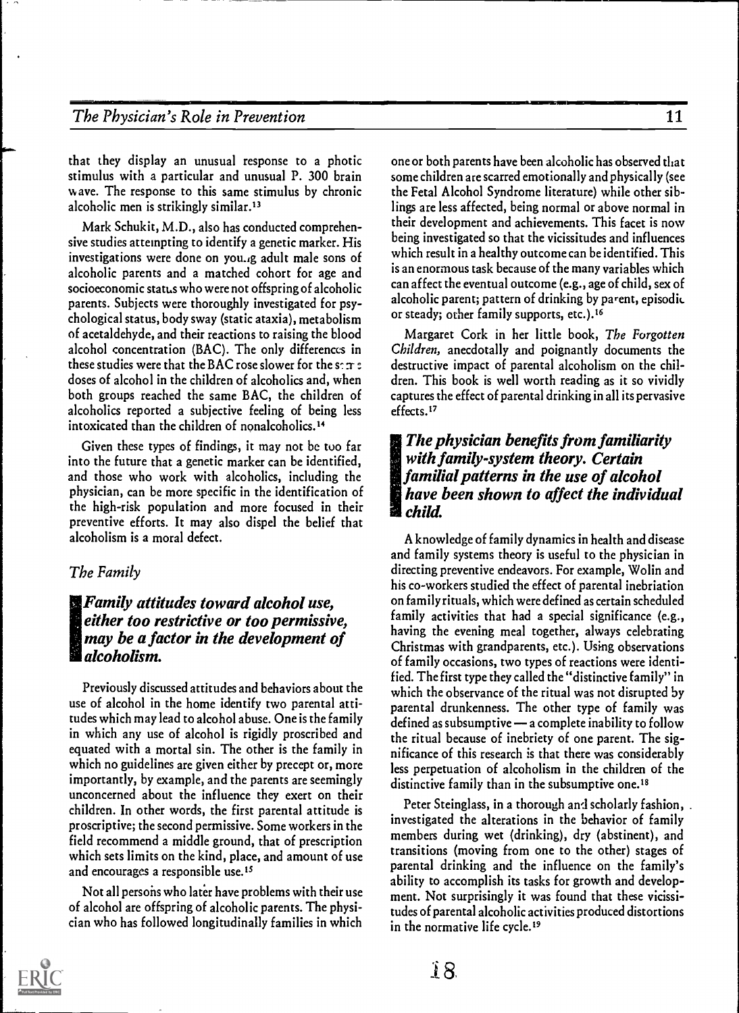# The Physician's Role in Prevention

that they display an unusual response to a photic stimulus with a particular and unusual P. 300 brain wave. The response to this same stimulus by chronic alcoholic men is strikingly similar.<sup>13</sup>

Mark Schukit, M.D., also has conducted comprehensive studies attempting to identify a genetic marker. His investigations were done on you.,g adult male sons of alcoholic parents and a matched cohort for age and socioeconomic status who were not offspring of alcoholic parents. Subjects were thoroughly investigated for psychological status, body sway (static ataxia), metabolism of acetaldehyde, and their reactions to raising the blood alcohol concentration (BAC). The only differences in these studies were that the BAC rose slower for the set  $\tau$  : doses of alcohol in the children of alcoholics and, when both groups reached the same BAC, the children of alcoholics reported a subjective feeling of being less intoxicated than the children of nonalcoholics.<sup>14</sup>

Given these types of findings, it may not be tuo far into the future that a genetic marker can be identified, and those who work with alcoholics, including the physician, can be more specific in the identification of the high-risk population and more focused in their preventive efforts. It may also dispel the belief that alcoholism is a moral defect.

#### The Family

## 慝 $F$ amily attitudes toward alcohol use, either too restrictive or too permissive, may be a factor in the development of alcoholism.

Previously discussed attitudes and behaviors about the use of alcohol in the home identify two parental attitudes which may lead to alcohol abuse. One is the family in which any use of alcohol is rigidly proscribed and equated with a mortal sin. The other is the family in which no guidelines are given either by precept or, more importantly, by example, and the parents are seemingly unconcerned about the influence they exert on their children. In other words, the first parental attitude is proscriptive; the second permissive. Some workers in the field recommend a middle ground, that of prescription which sets limits on the kind, place, and amount of use and encourages a responsible use.<sup>15</sup>

Not all persons who later have problems with their use of alcohol are offspring of alcoholic parents. The physician who has followed longitudinally families in which

one or both parents have been alcoholic has observed that some children are scarred emotionally and physically (see the Fetal Alcohol Syndrome literature) while other siblings are less affected, being normal or above normal in their development and achievements. This facet is now being investigated so that the vicissitudes and influences which result in a healthy outcome can be identified. This is an enormous task because of the many variables which can affect the eventual outcome (e.g., age of child, sex of alcoholic parent; pattern of drinking by parent, episodic or steady; other family supports, etc.).<sup>16</sup>

Margaret Cork in her little book, The Forgotten Children, anecdotally and poignantly documents the destructive impact of parental alcoholism on the children. This book is well worth reading as it so vividly captures the effect of parental drinking in all its pervasive effects.<sup>17</sup>

# IThe physician benefits from familiarity with family-system theory. Certain familial patterns in the use of alcohol have been shown to affect the individual child.

A knowledge of family dynamics in health and disease and family systems theory is useful to the physician in directing preventive endeavors. For example, Wolin and his co-workers studied the effect of parental inebriation on family rituals, which were defined as certain scheduled family activities that had a special significance (e.g., having the evening meal together, always celebrating Christmas with grandparents, etc.). Using observations of family occasions, two types of reactions were identified. The first type they called the "distinctive family" in which the observance of the ritual was not disrupted by parental drunkenness. The other type of family was defined as subsumptive  $\rightarrow$  a complete inability to follow the ritual because of inebriety of one parent. The significance of this research is that there was considerably less perpetuation of alcoholism in the children of the distinctive family than in the subsumptive one.<sup>18</sup>

Peter Steinglass, in a thorough and scholarly fashion, investigated the alterations in the behavior of family members during wet (drinking), dry (abstinent), and transitions (moving from one to the other) stages of parental drinking and the influence on the family's ability to accomplish its tasks for growth and development. Not surprisingly it was found that these vicissitudes of parental alcoholic activities produced distortions in the normative life cycle.<sup>19</sup>

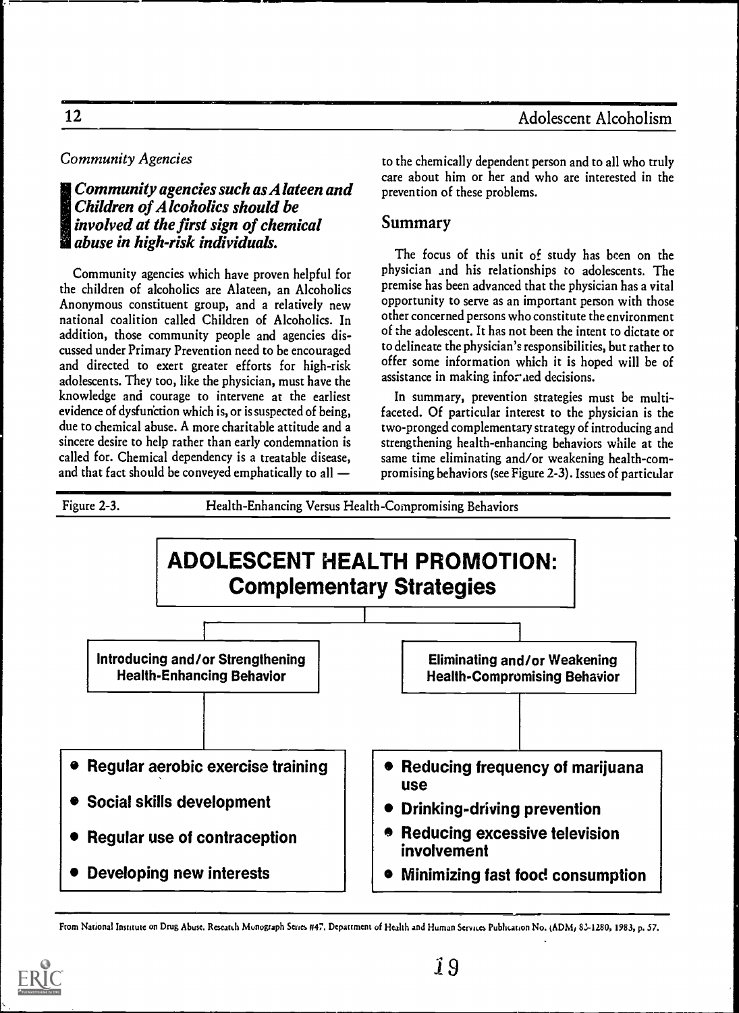# Community Agencies

# !Community agencies such as Alateen and Children of Alcoholics should be involved at the first sign of chemical **and abuse in high-risk individuals.**

Community agencies which have proven helpful for the children of alcoholics are Alateen, an Alcoholics Anonymous constituent group, and a relatively new national coalition called Children of Alcoholics. In addition, those community people and agencies discussed under Primary Prevention need to be encouraged and directed to exert greater efforts for high-risk adolescents. They too, like the physician, must have the knowledge and courage to intervene at the earliest evidence of dysfunction which is, or is suspected of being, due to chemical abuse. A more charitable attitude and a sincere desire to help rather than early condemnation is called for. Chemical dependency is a treatable disease, and that fact should be conveyed emphatically to all

to the chemically dependent person and to all who truly care about him or her and who are interested in the prevention of these problems.

# Summary

The focus of this unit of study has been on the physician and his relationships to adolescents. The premise has been advanced that the physician has a vital opportunity to serve as an important person with those other concerned persons who constitute the environment of the adolescent. It has not been the intent to dictate or to delineate the physician's responsibilities, but rather to offer some information which it is hoped will be of assistance in making informed decisions.

In summary, prevention strategies must be multifaceted. Of particular interest to the physician is the two-pronged complementary strategy of introducing and strengthening health-enhancing behaviors while at the same time eliminating and/or weakening health-compromising behaviors (see Figure 2-3). Issues of particular

ADOLESCENT HEALTH PROMOTION: Complementary Strategies l<sub>——</sub> 1 I Introducing and/or Strengthening Health-Enhancing Behavior Regular aerobic exercise training **• Social skills development** • Regular use of contraception Developing new interests Eliminating and/or Weakening Health-Compromising Behavior Reducing frequency of marijuana use Drinking-driving prevention • Reducing excessive television involvement **• Minimizing fast food consumption** 

Figure 2-3. Health-Enhancing Versus Health-Compromising Behaviors

From National Institute on Drug Abuse. Research Monograph Series #47. Department of Health and Human Services Publication No. (ADM, 82-1280, 1983, p. 57.

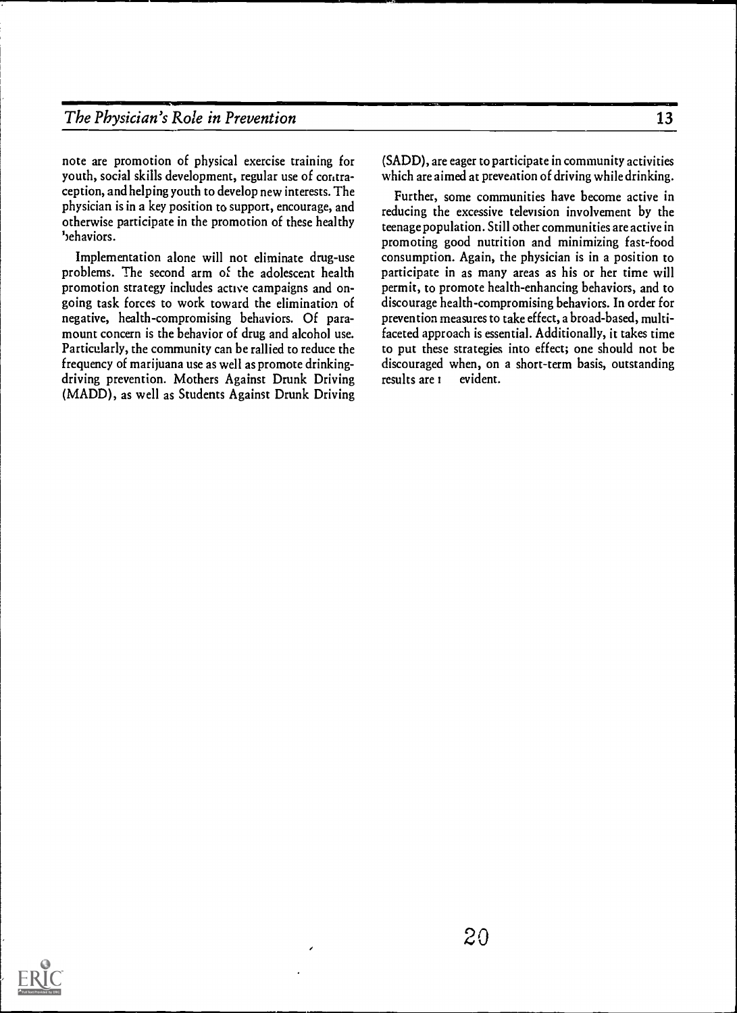# The Physician's Role in Prevention 13

note are promotion of physical exercise training for youth, social skills development, regular use of contraception, and helping youth to develop new interests. The physician is in a key position to support, encourage, and otherwise participate in the promotion of these healthy ',ehaviors.

Implementation alone will not eliminate drug-use problems. The second arm of the adolescent health promotion strategy includes active campaigns and ongoing task forces to work toward the elimination of negative, health-compromising behaviors. Of paramount concern is the behavior of drug and alcohol use. Particularly, the community can be rallied to reduce the frequency of marijuana use as well as promote drinkingdriving prevention. Mothers Against Drunk Driving (MADD), as well as Students Against Drunk Driving

(SADD), are eager to participate in community activities which are aimed at prevention of driving while drinking.

Further, some communities have become active in reducing the excessive television involvement by the teenage population. Still other communities are active in promoting good nutrition and minimizing fast-food consumption. Again, the physician is in a position to participate in as many areas as his or her time will permit, to promote health-enhancing behaviors, and to discourage health-compromising behaviors. In order for prevention measures to take effect, a broad-based, multifaceted approach is essential. Additionally, it takes time to put these strategies into effect; one should not be discouraged when, on a short-term basis, outstanding results are i evident.

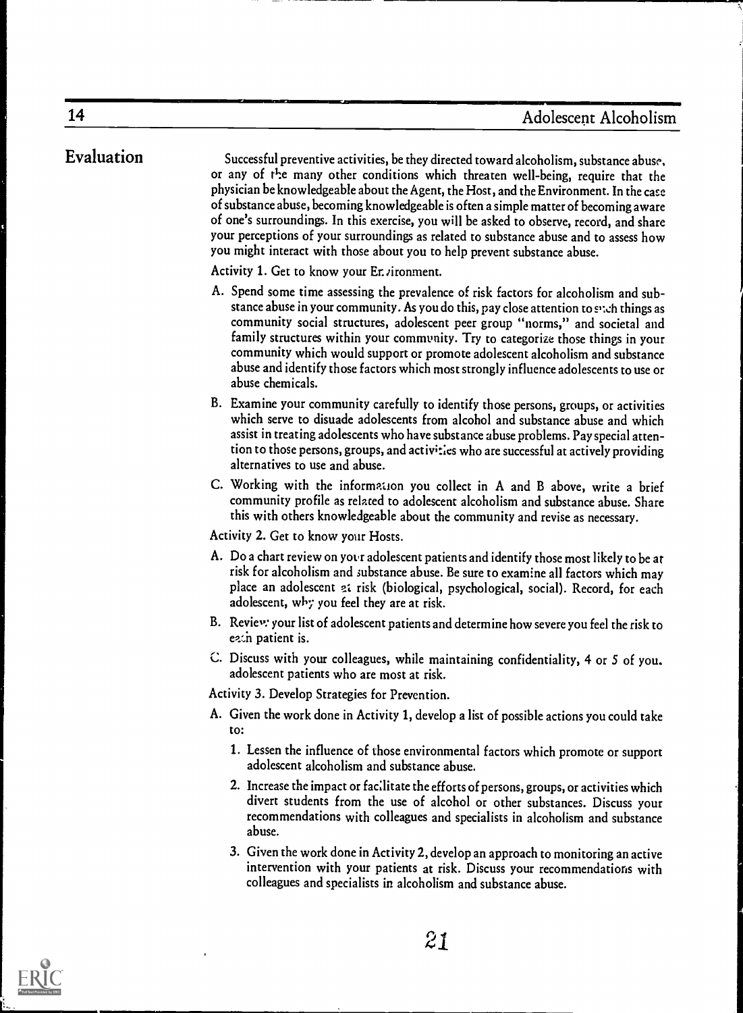Evaluation Successful preventive activities, be they directed toward alcoholism, substance abuse, or any of the many other conditions which threaten well-being, require that the physician be knowledgeable about the Agent, the Host, and the Environment. In thecase of substance abuse, becoming knowledgeable is often a simple matter of becoming aware of one's surroundings. In this exercise, you will be asked to observe, record, and share your perceptions of your surroundings as related to substance abuse and to assess how you might interact with those about you to help prevent substance abuse.

Activity 1. Get to know your Er. *i* ronment.

- A. Spend some time assessing the prevalence of risk factors for alcoholism and substance abuse in your community. As you do this, pay close attention to sych things as community social structures, adolescent peer group "norms," and societal and family structures within your community. Try to categorize those things in your community which would support or promote adolescent alcoholism and substance abuse and identify those factors which most strongly influence adolescents to use or abuse chemicals.
- B. Examine your community carefully to identify those persons, groups, or activities which serve to disuade adolescents from alcohol and substance abuse and which assist in treating adolescents who have substance abuse problems. Pay special attention to those persons, groups, and activities who are successful at actively providing alternatives to use and abuse.
- C. Working with the information you collect in A and B above, write a brief community profile as related to adolescent alcoholism and substance abuse. Share this with others knowledgeable about the community and revise as necessary.

Activity 2. Get to know your Hosts.

- A. Do a chart review on your adolescent patients and identify those most likely to be at risk for alcoholism and substance abuse. Be sure to examine all factors which may place an adolescent at risk (biological, psychological, social). Record, for each adolescent, why you feel they are at risk.
- B. Reviey: your list of adolescent patients and determine how severe you feel the risk to ezin patient is.
- C. Discuss with your colleagues, while maintaining confidentiality, 4 or 5 of you adolescent patients who are most at risk.

Activity 3. Develop Strategies for Prevention.

- A. Given the work done in Activity 1, develop a list of possible actions you could take to:
	- 1. Lessen the influence of those environmental factors which promote or support adolescent alcoholism and substance abuse.
	- 2. Increase the impact or facilitate the efforts of persons, groups, or activities which divert students from the use of alcohol or other substances. Discuss your recommendations with colleagues and specialists in alcoholism and substance abuse.
	- 3. Given the work done in Activity 2, develop an approach to monitoringan active intervention with your patients at risk. Discuss your recommendations with colleagues and specialists in alcoholism and substance abuse.

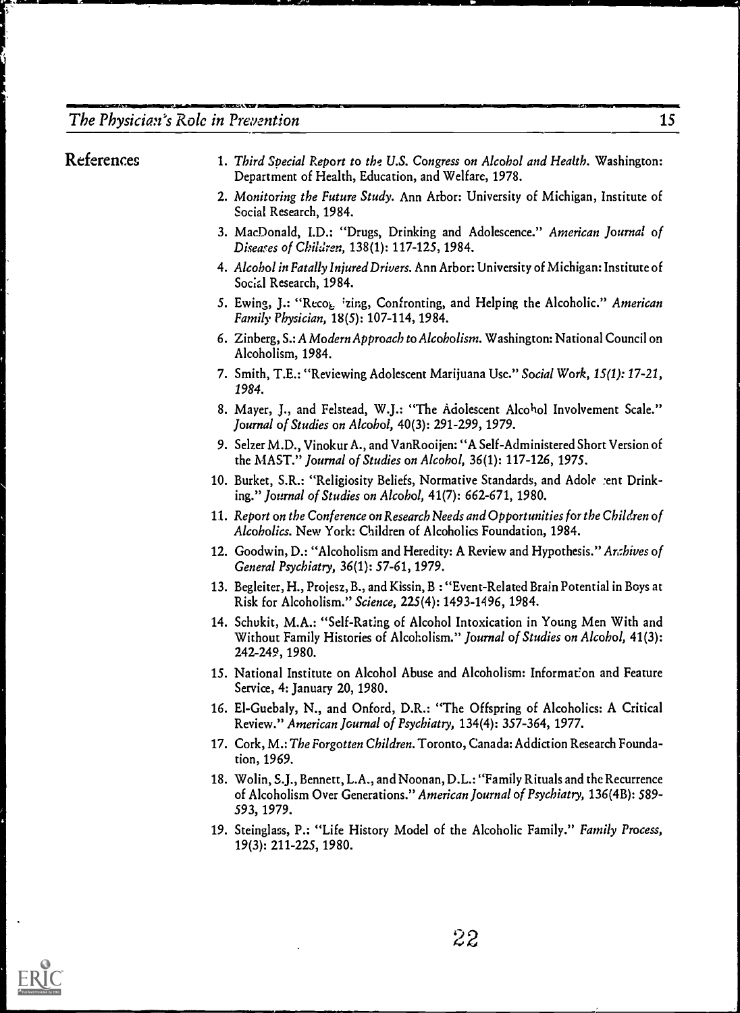# The Physician's Role in Prevention 15

F

filsINNINT.711.11.12M1411:1111

| References | 1. Third Special Report to the U.S. Congress on Alcohol and Health. Washington:<br>Department of Health, Education, and Welfare, 1978.                                               |
|------------|--------------------------------------------------------------------------------------------------------------------------------------------------------------------------------------|
|            | 2. Monitoring the Future Study. Ann Arbor: University of Michigan, Institute of<br>Social Research, 1984.                                                                            |
|            | 3. MacDonald, I.D.: "Drugs, Drinking and Adolescence." American Journal of<br>Diseases of Children, 138(1): 117-125, 1984.                                                           |
|            | 4. Alcohol in Fatally Injured Drivers. Ann Arbor: University of Michigan: Institute of<br>Social Research, 1984.                                                                     |
|            | 5. Ewing, J.: "Reco <sub>k</sub> <i>i</i> zing, Confronting, and Helping the Alcoholic." American<br>Family Physician, 18(5): 107-114, 1984.                                         |
|            | 6. Zinberg, S.: A Modern Approach to Alcoholism. Washington: National Council on<br>Alcoholism, 1984.                                                                                |
|            | 7. Smith, T.E.: "Reviewing Adolescent Marijuana Use." Social Work, 15(1): 17-21,<br>1984.                                                                                            |
|            | 8. Mayer, J., and Felstead, W.J.: "The Adolescent Alcohol Involvement Scale."<br>Journal of Studies on Alcohol, 40(3): 291-299, 1979.                                                |
|            | 9. Selzer M.D., Vinokur A., and VanRooijen: "A Self-Administered Short Version of<br>the MAST." Journal of Studies on Alcohol, 36(1): 117-126, 1975.                                 |
|            | 10. Burket, S.R.: "Religiosity Beliefs, Normative Standards, and Adole :ent Drink-<br>ing." Journal of Studies on Alcohol, 41(7): 662-671, 1980.                                     |
|            | 11. Report on the Conference on Research Needs and Opportunities for the Children of<br>Alcoholics. New York: Children of Alcoholics Foundation, 1984.                               |
|            | 12. Goodwin, D.: "Alcoholism and Heredity: A Review and Hypothesis." Anthives of<br>General Psychiatry, 36(1): 57-61, 1979.                                                          |
|            | 13. Begleiter, H., Projesz, B., and Kissin, B: "Event-Related Brain Potential in Boys at<br>Risk for Alcoholism." Science, 225(4): 1493-1496, 1984.                                  |
|            | 14. Schukit, M.A.: "Self-Rating of Alcohol Intoxication in Young Men With and<br>Without Family Histories of Alcoholism." Journal of Studies on Alcohol, 41(3):<br>242-249, 1980.    |
|            | 15. National Institute on Alcohol Abuse and Alcoholism: Information and Feature<br>Service, 4: January 20, 1980.                                                                     |
|            | 16. El-Guebaly, N., and Onford, D.R.: "The Offspring of Alcoholics: A Critical<br>Review." American Journal of Psychiatry, 134(4): 357-364, 1977.                                    |
|            | 17. Cork, M.: The Forgotten Children. Toronto, Canada: Addiction Research Founda-<br>tion, 1969.                                                                                     |
|            | 18. Wolin, S.J., Bennett, L.A., and Noonan, D.L.: "Family Rituals and the Recurrence<br>of Alcoholism Over Generations." American Journal of Psychiatry, 136(4B): 589-<br>593, 1979. |
|            | 19. Steinglass, P.: "Life History Model of the Alcoholic Family." Family Process,<br>19(3): 211-225, 1980.                                                                           |

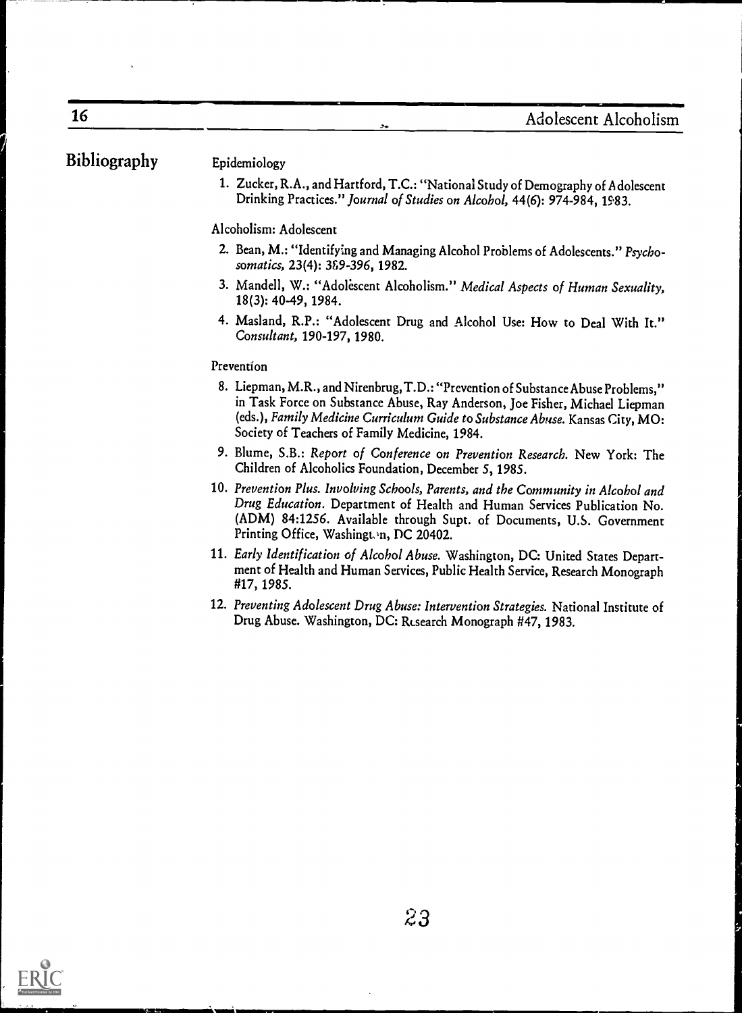.,.BMIMN=111111

# Bibliography Epidemiology

16

1. Zucker, R.A., and Hartford, T.C.: "National Study of Demography of A dolescent Drinking Practices." Journal of Studies on Alcohol, 44(6): 974-984, 1583.

Alcoholism: Adolescent

- 2. Bean, M.: "Identifying and Managing Alcohol Problems of Adolescents." Psychosomatics, 23(4): 389-396, 1982.
- 3. Mandell, W.: "Adolescent Alcoholism." Medical Aspects of Human Sexuality, 18(3): 40-49, 1984.
- 4. Masland, R.P.: "Adolescent Drug and Alcohol Use: How to Deal With It." Consultant, 190-197, 1980.

#### Prevention

- 8. Liepman, M.R., and Nirenbrug, T.D.: "Prevention of Substance Abuse Problems," in Task Force on Substance Abuse, Ray Anderson, Joe Fisher, Michael Liepman (eds.), Family Medicine Curriculum Guide to Substance Abuse. Kansas City, MO: Society of Teachers of Family Medicine, 1984.
- 9. Blume, S.B.: Report of Conference on Prevention Research. New York: The Children of Alcoholics Foundation, December 5, 1985.
- 10. Prevention Plus. Involving Schools, Parents, and the Community in Alcohol and Drug Education. Department of Health and Human Services Publication No. (ADM) 84:1256. Available through Supt. of Documents, U.S. Government Printing Office, Washington, DC 20402.
- 11. Early Identification of Alcohol Abuse. Washington, DC: United States Department of Health and Human Services, Public Health Service, Research Monograph #17, 1985.
- 12. Preventing Adolescent Drug Abuse: Intervention Strategies. National Institute of Drug Abuse. Washington, DC: Risearch Monograph #47, 1983.

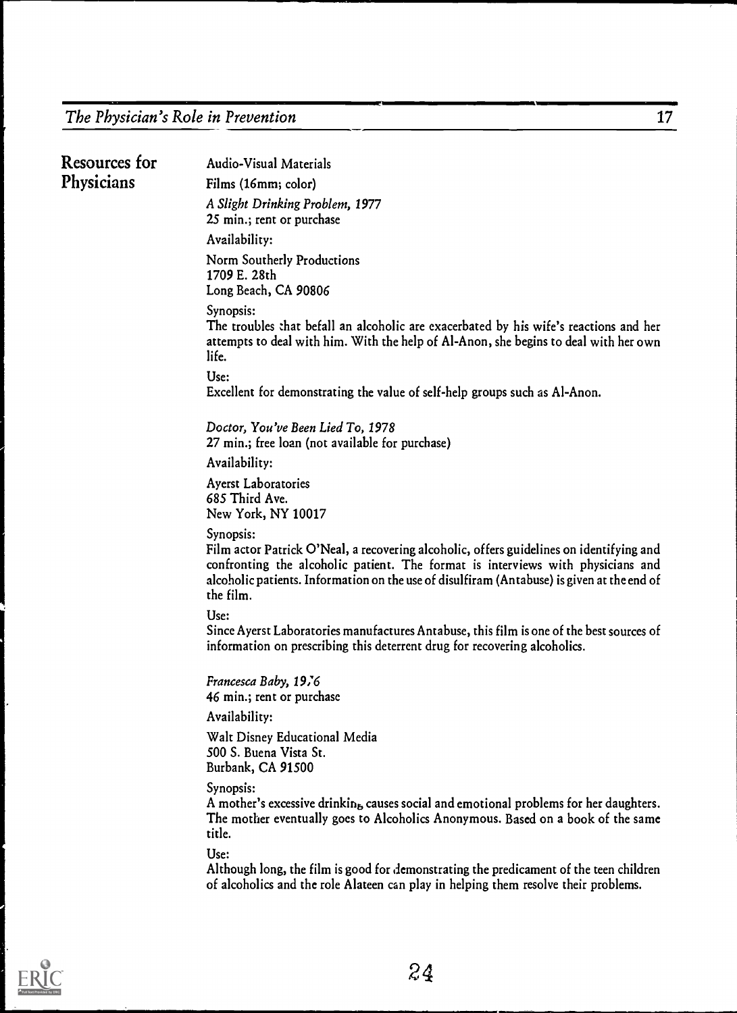| <b>Resources for</b> | <b>Audio-Visual Materials</b>                                                                                                                                                                                                                                                                      |  |  |  |  |  |  |  |
|----------------------|----------------------------------------------------------------------------------------------------------------------------------------------------------------------------------------------------------------------------------------------------------------------------------------------------|--|--|--|--|--|--|--|
| Physicians           | Films (16mm; color)                                                                                                                                                                                                                                                                                |  |  |  |  |  |  |  |
|                      | A Slight Drinking Problem, 1977<br>25 min.; rent or purchase                                                                                                                                                                                                                                       |  |  |  |  |  |  |  |
|                      | Availability:                                                                                                                                                                                                                                                                                      |  |  |  |  |  |  |  |
|                      | Norm Southerly Productions<br>1709 E. 28th<br>Long Beach, CA 90806                                                                                                                                                                                                                                 |  |  |  |  |  |  |  |
|                      | Synopsis:<br>The troubles that befall an alcoholic are exacerbated by his wife's reactions and her<br>attempts to deal with him. With the help of Al-Anon, she begins to deal with her own<br>life.                                                                                                |  |  |  |  |  |  |  |
|                      | Use:                                                                                                                                                                                                                                                                                               |  |  |  |  |  |  |  |
|                      | Excellent for demonstrating the value of self-help groups such as Al-Anon.                                                                                                                                                                                                                         |  |  |  |  |  |  |  |
|                      | Doctor, You've Been Lied To, 1978<br>27 min.; free loan (not available for purchase)                                                                                                                                                                                                               |  |  |  |  |  |  |  |
|                      | Availability:                                                                                                                                                                                                                                                                                      |  |  |  |  |  |  |  |
|                      | <b>Ayerst Laboratories</b><br>685 Third Ave.<br>New York, NY 10017                                                                                                                                                                                                                                 |  |  |  |  |  |  |  |
|                      | Synopsis:<br>Film actor Patrick O'Neal, a recovering alcoholic, offers guidelines on identifying and<br>confronting the alcoholic patient. The format is interviews with physicians and<br>alcoholic patients. Information on the use of disulfiram (Antabuse) is given at the end of<br>the film. |  |  |  |  |  |  |  |
|                      | Use:<br>Since Ayerst Laboratories manufactures Antabuse, this film is one of the best sources of<br>information on prescribing this deterrent drug for recovering alcoholics.                                                                                                                      |  |  |  |  |  |  |  |
|                      | Francesca Baby, 1976<br>46 min.; rent or purchase                                                                                                                                                                                                                                                  |  |  |  |  |  |  |  |
|                      | Availability:                                                                                                                                                                                                                                                                                      |  |  |  |  |  |  |  |
|                      | Walt Disney Educational Media<br>500 S. Buena Vista St.<br>Burbank, CA 91500                                                                                                                                                                                                                       |  |  |  |  |  |  |  |
|                      | Synopsis:<br>A mother's excessive drinkin <sub>b</sub> causes social and emotional problems for her daughters.<br>The mother eventually goes to Alcoholics Anonymous. Based on a book of the same<br>title.                                                                                        |  |  |  |  |  |  |  |
|                      | Use:<br>Although long, the film is good for demonstrating the predicament of the teen children<br>of alcoholics and the role Alateen can play in helping them resolve their problems.                                                                                                              |  |  |  |  |  |  |  |
|                      |                                                                                                                                                                                                                                                                                                    |  |  |  |  |  |  |  |

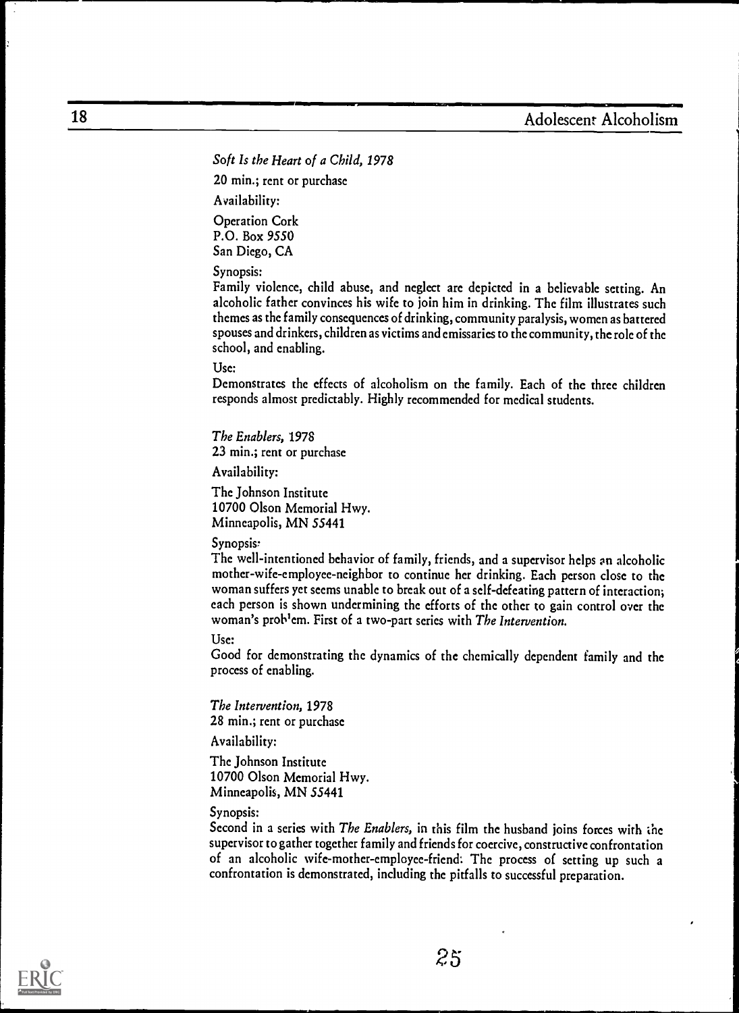Soft Is the Heart of a Child, 1978

20 min.; rent or purchase

Availability:

Operation Cork P.O. Box 9550 San Diego, CA

Synopsis:

Family violence, child abuse, and neglect are depicted in a believable setting. An alcoholic father convinces his wife to join him in drinking. The film illustrates such themes as the family consequences of drinking, community paralysis, women as battered spouses and drinkers, children as victims and emissaries to the community, the role of the school, and enabling.

Use:

Demonstrates the effects of alcoholism on the family. Each of the three children responds almost predictably. Highly recommended for medical students.

The Enablers, 1978 23 min.; rent or purchase

Availability:

The Johnson Institute 10700 Olson Memorial Hwy. Minneapolis, MN 55441

Synopsis'

The well-intentioned behavior of family, friends, and a supervisor helps an alcoholic mother-wife-employee-neighbor to continue her drinking. Each person close to the woman suffers yet seems unable to break out of a self-defeating pattern of interaction; each person is shown undermining the efforts of the other to gain control over the woman's prob<sup>1</sup>em. First of a two-part series with The Intervention.

Usc:

Good for demonstrating the dynamics of the chemically dependent family and the process of enabling.

The Intervention, 1978 28 min.; rent or purchase

Availability:

The Johnson Institute 10700 Olson Memorial Hwy. Minneapolis, MN 55441

#### Synopsis:

Second in a series with The Enablers, in this film the husband joins forces with the supervisor to gather together family and friends for coercive, constructive confrontation of an alcoholic wife-mother-employee-friend: The process of setting up such a confrontation is demonstrated, including the pitfalls to successful preparation.

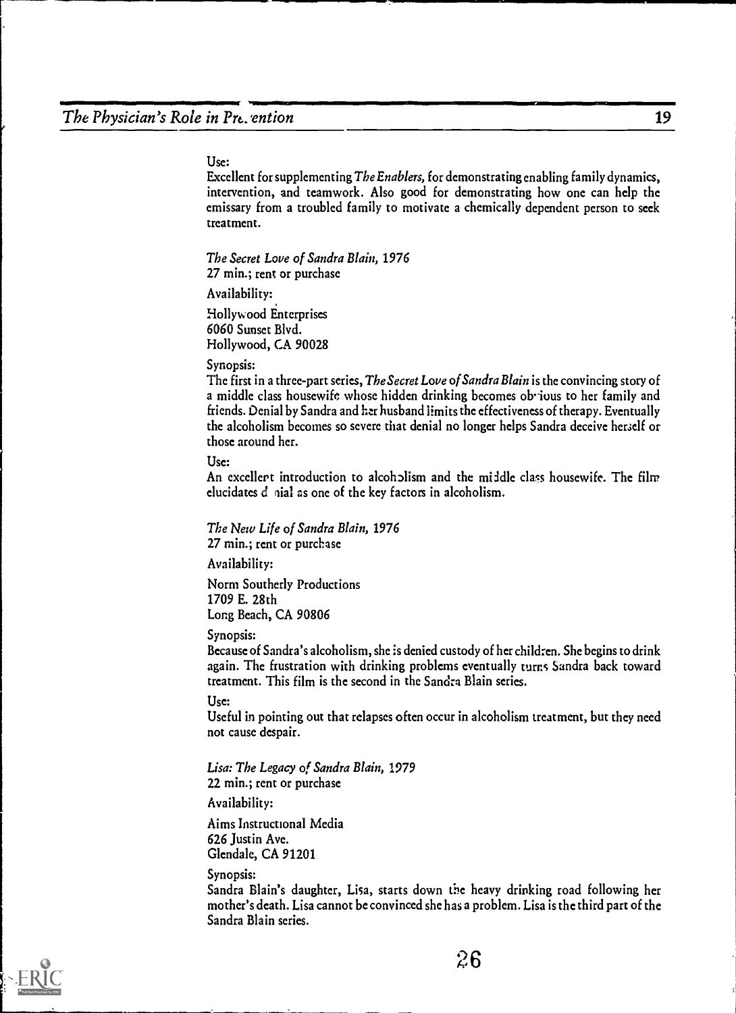#### Use:

Excellent for supplementing The Enablers, for demonstrating enabling family dynamics, intervention, and teamwork. Also good for demonstrating how one can help the emissary from a troubled family to motivate a chemically dependent person to seek treatment.

The Secret Love of Sandra Blain, 1976 27 min.; rent or purchase

Availability:

Hollywood Enterprises 6060 Sunset Blvd. Hollywood, CA 90028

#### Synopsis:

The first in a three-part series, The Secret Love of Sandra Blain is the convincing story of a middle class housewife whose hidden drinking becomes ob jous to her family and friends. Denial by Sandra and her husband limits the effectiveness of therapy. Eventually the alcoholism becomes so severe that denial no longer helps Sandra deceive herself or those around her.

Use:

An excellent introduction to alcoholism and the middle class housewife. The film elucidates d vial as one of the key factors in alcoholism.

The New Life of Sandra Blain, 1976 27 min.; rent or purchase

Availability:

Norm Southerly Productions 1709 E. 28th Long Beach, CA 90806

Synopsis:

Because of Sandra's alcoholism, she is denied custody of her children. She begins to drink again. The frustration with drinking problems eventually turns Sandra back toward treatment. This film is the second in the Sandra Blain series.

Use:

Useful in pointing out that relapses often occur in alcoholism treatment, but they need not cause despair.

Lisa: The Legacy of Sandra Blain, 1979 22 min.; rent or purchase

Availability:

Aims Instructional Media 626 Justin Ave. Glendale, CA 91201

Synopsis:

Sandra Blain's daughter, Lisa, starts down the heavy drinking road following her mother's death. Lisa cannot be convinced she has a problem. Lisa is the third part of the Sandra Blain series.



26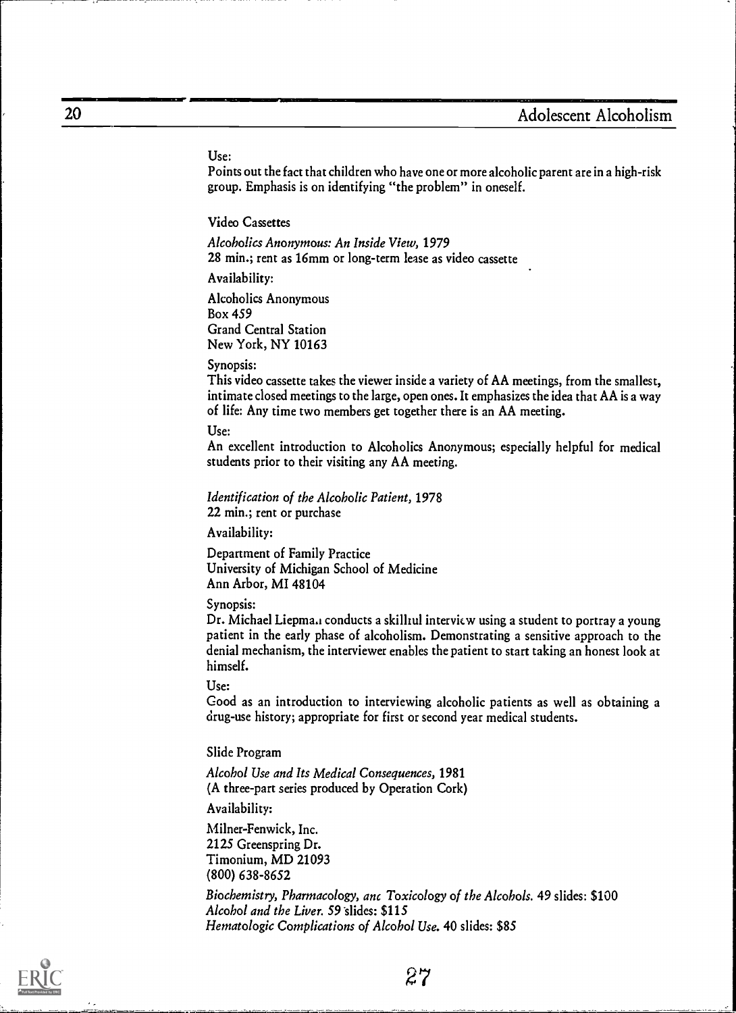#### Use:

Points out the fact that children who have one or more alcoholic parent are in a high-risk group. Emphasis is on identifying "the problem" in oneself.

Video Cassettes

Alcoholics Anonymous: An Inside View, 1979 28 min.; rent as 16mm or long-term lease as video cassette

Availability:

Alcoholics Anonymous Box 459 Grand Central Station New York, NY 10163

#### Synopsis:

This video cassette takes the viewer inside a variety of AA meetings, from the smallest, intimate closed meetings to the large, open ones. It emphasizes the idea that AA is a way of life: Any time two members get together there is an AA meeting.

#### Use:

An excellent introduction to Alcoholics Anonymous; especially helpful for medical students prior to their visiting any AA meeting.

Identification of the Alcoholic Patient, 1978 22 min.; rent or purchase

Availability:

Department of Family Practice University of Michigan School of Medicine Ann Arbor, MI 48104

#### Synopsis:

Dr. Michael Liepma, conducts a skillrul interview using a student to portray a young patient in the early phase of alcoholism. Demonstrating a sensitive approach to the denial mechanism, the interviewer enables the patient to start taking an honest look at himself.

#### Use:

Good as an introduction to interviewing alcoholic patients as well as obtaining a drug-use history; appropriate for first or second year medical students.

#### Slide Program

Alcohol Use and Its Medical Consequences, 1981 (A three-part series produced by Operation Cork)

Availability:

Milner-Fenwick, Inc. 2125 Greenspring Dr. Timonium, MD 21093 (800) 638-8652

Biochemistry, Pharmacology, anc Toxicology of the Alcohols. 49 slides: \$100 Alcohol and the Liver. 59 slides: \$115 Hematologic Complications of Alcohol Use. 40 slides: \$85



-1- --=.2-..--

27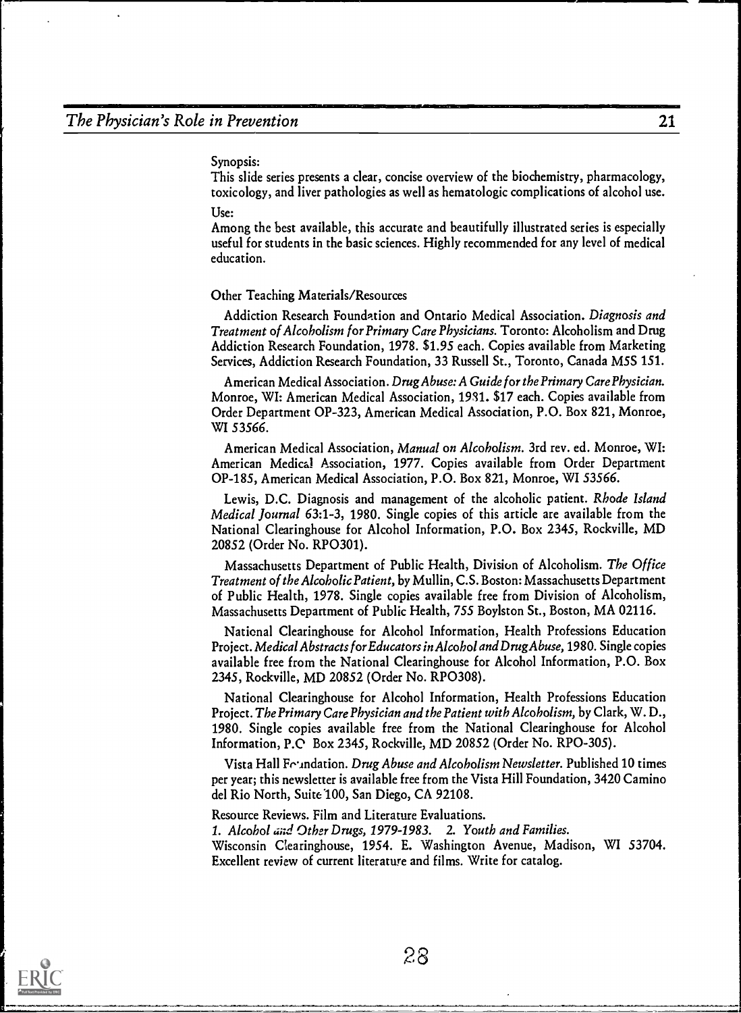Synopsis:

This slide series presents a clear, concise overview of the biochemistry, pharmacology, toxicology, and liver pathologies as well as hematologic complications of alcohol use. Use:

Among the best available, this accurate and beautifully illustrated series is especially useful for students in the basic sciences. Highly recommended for any level of medical education.

#### Other Teaching Materials/Resources

Addiction Research Foundation and Ontario Medical Association. Diagnosis and Treatment of Alcoholism for Primary Care Physicians. Toronto: Alcoholism and Drug Addiction Research Foundation, 1978. \$1.95 each. Copies available from Marketing Services, Addiction Research Foundation, 33 Russell St., Toronto, Canada MSS 151.

American Medical Association. Drug Abuse: A Guide for the Primary CarePhysician. Monroe, WI: American Medical Association, 1931. \$17 each. Copies available from Order Department OP-323, American Medical Association, P.O. Box 821, Monroe, WI 53566.

American Medical Association, Manual on Alcoholism. 3rd rev. ed. Monroe, WI: American Medical Association, 1977. Copies available from Order Department OP-185, American Medical Association, P.O. Box 821, Monroe, WI 53566.

Lewis, D.C. Diagnosis and management of the alcoholic patient. Rhode Island Medical Journal 63:1-3, 1980. Single copies of this article are available from the National Clearinghouse for Alcohol Information, P.O. Box 2345, Rockville, MD 20852 (Order No. RP0301).

Massachusetts Department of Public Health, Division of Alcoholism. The Office Treatment of the Alcoholic Patient, by Mullin, C.S. Boston: Massachusetts Department of Public Health, 1978. Single copies available free from Division of Alcoholism, Massachusetts Department of Public Health, 755 Boylston St., Boston, MA 02116.

National Clearinghouse for Alcohol Information, Health Professions Education Project. Medical Abstracts for Educators in Alcohol and DrugAbuse, 1980. Single copies available free from the National Clearinghouse for Alcohol Information, P.O. Box 2345, Rockville, MD 20852 (Order No. RP0308).

National Clearinghouse for Alcohol Information, Health Professions Education Project. The Primary Care Physician and the Patient with Alcoholism, by Clark, W. D., 1980. Single copies available free from the National Clearinghouse for Alcohol Information, P.0 Box 2345, Rockville, MD 20852 (Order No. RPO-305).

Vista Hall Feundation. *Drug Abuse and Alcoholism Newsletter*. Published 10 times per year; this newsletter is available free from the Vista Hill Foundation, 3420 Camino del Rio North, Suite 100, San Diego, CA 92108.

Resource Reviews. Film and Literature Evaluations.

1. Alcohol and Other Drugs, 1979-1983. 2. Youth and Families.

Wisconsin Clearinghouse, 1954. E. Washington Avenue, Madison, WI 53704. Excellent review of current literature and films. Write for catalog.

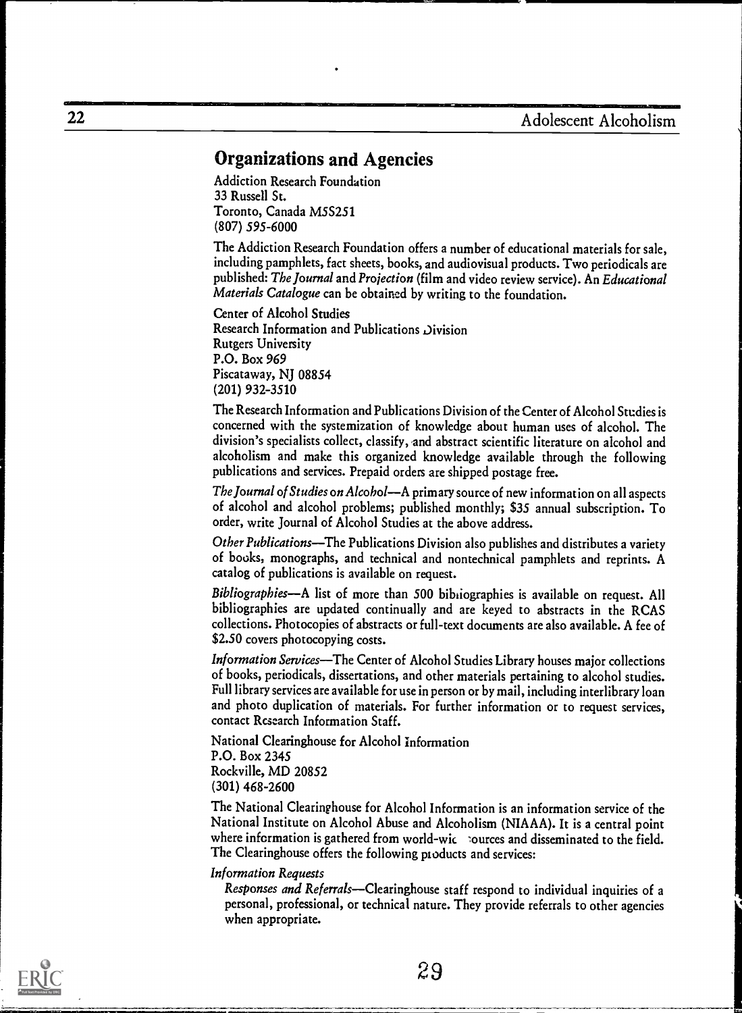# Organizations and Agencies

Addiction Research Foundation 33 Russell St. Toronto, Canada M5S251 (807) 595-6000

The Addiction Research Foundation offers a number of educational materials for sale, including pamphlets, fact sheets, books, and audiovisual products. Two periodicals are published: The Journal and Projection (film and video review service). An Educational Materials Catalogue can be obtained by writing to the foundation.

Center of Alcohol Studies Research Information and Publications Division Rutgers University P.O. Box 969 Piscataway, NJ 08854 (201) 932-3510

The Research Information and Publications Division of the Center of Alcohol Studies is concerned with the systemization of knowledge about human uses of alcohol. The division's specialists collect, classify, and abstract scientific literature on alcohol and alcoholism and make this organized knowledge available through the following publications and services. Prepaid orders are shipped postage free.

The Journal of Studies on Alcohol—A primary source of new information on all aspects of alcohol and alcohol problems; published monthly; \$35 annual subscription. To order, write Journal of Alcohol Studies at the above address.

Other Publications—The Publications Division also publishes and distributes a variety of books, monographs, and technical and nontechnical pamphlets and reprints. A catalog of publications is available on request.

Bibliographies—A list of more than 500 bibliographies is available on request. All bibliographies are updated continually and are keyed to abstracts in the RCAS collections. Photocopies of abstracts or full-text documents are also available. A fee of \$2.50 covers photocopying costs.

Information Services-The Center of Alcohol Studies Library houses major collections of books, periodicals, dissertations, and other materials pertaining to alcohol studies. Full library services are available for use in person or by mail, including interlibrary loan and photo duplication of materials. For further information or to request services, contact Research Information Staff.

National Clearinghouse for Alcohol Information P.O. Box 2345 Rockville, MD 20852 (301) 468-2600

The National Clearinghouse for Alcohol Information is an information service of the National Institute on Alcohol Abuse and Alcoholism (NIAAA). It is a central point where information is gathered from world-wic sources and disseminated to the field. The Clearinghouse offers the following products and services:

Information Requests

Responses and Referrals-Clearinghouse staff respond to individual inquiries of a personal, professional, or technical nature. They provide referrals to other agencies when appropriate.

29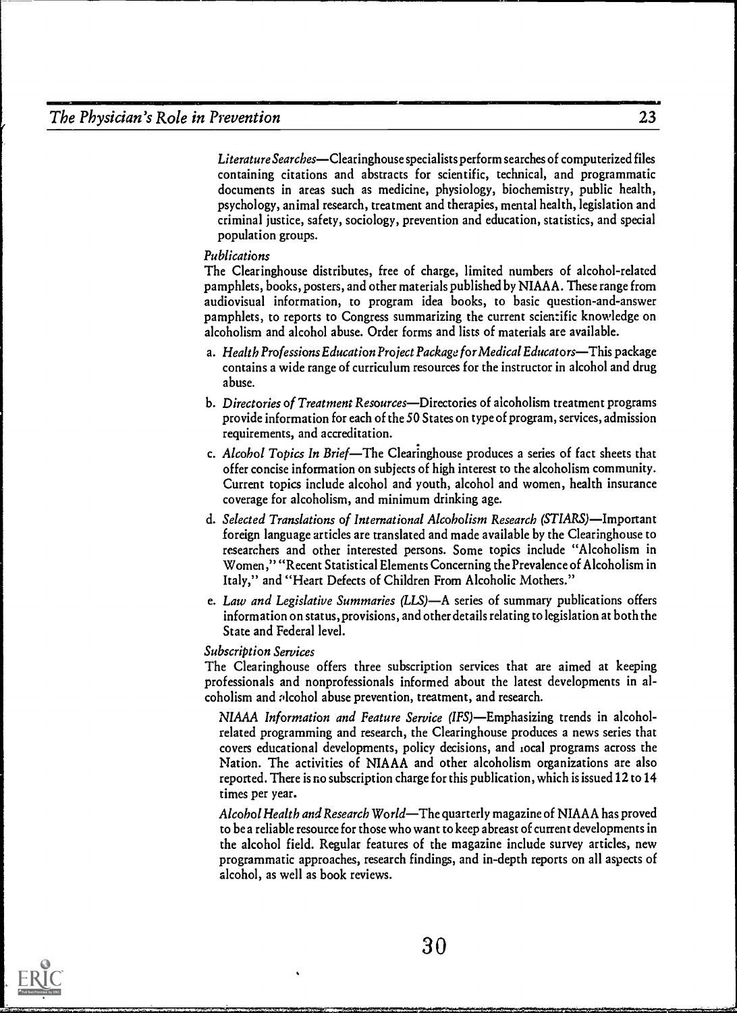Literature Searches—Clearinghouse specialists perform searches of computerized files containing citations and abstracts for scientific, technical, and programmatic documents in areas such as medicine, physiology, biochemistry, public health, psychology, animal research, treatment and therapies, mental health, legislation and criminal justice, safety, sociology, prevention and education, statistics, and special population groups.

#### Publications

The Clearinghouse distributes, free of charge, limited numbers of alcohol-related pamphlets, books, posters, and other materials published by NIAAA. These range from audiovisual information, to program idea books, to basic question-and-answer pamphlets, to reports to Congress summarizing the current scientific knowledge on alcoholism and alcohol abuse. Order forms and lists of materials are available.

- a. Health Professions Education Project Package for Medical Educators—This package contains a wide range of curriculum resources for the instructor in alcohol and drug abuse.
- b. Directories of Treatment Resources-Directories of alcoholism treatment programs provide information for each of the 50 States on type of program, services, admission requirements, and accreditation.
- c. Alcohol Topics In Brief—The Clearinghouse produces a series of fact sheets that offer concise information on subjects of high interest to the alcoholism community. Current topics include alcohol and youth, alcohol and women, health insurance coverage for alcoholism, and minimum drinking age.
- d. Selected Translations of International Alcoholism Research (STIARS)-Important foreign language articles are translated and made available by the Clearinghouse to researchers and other interested persons. Some topics include "Alcoholism in Women," "Recent Statistical Elements Concerning the Prevalence of Alcoholism in Italy," and "Heart Defects of Children From Alcoholic Mothers."
- e. Law and Legislative Summaries (LLS)-A series of summary publications offers information on status, provisions, and other details relating to legislation at both the State and Federal level.

#### Subscription Services

The Clearinghouse offers three subscription services that are aimed at keeping professionals and nonprofessionals informed about the latest developments in alcoholism and alcohol abuse prevention, treatment, and research.

NIAAA Information and Feature Service (IFS)-Emphasizing trends in alcoholrelated programming and research, the Clearinghouse produces a news series that covers educational developments, policy decisions, and local programs across the Nation. The activities of NIAAA and other alcoholism organizations are also reported. There is no subscription charge for this publication, which is issued 12 to 14 times per year.

Alcohol Health and Research World—The quarterly magazine of NIAAA has proved to be a reliable resource for those who want to keep abreast of current developments in the alcohol field. Regular features of the magazine include survey articles, new programmatic approaches, research findings, and in-depth reports on all aspects of alcohol, as well as book reviews.

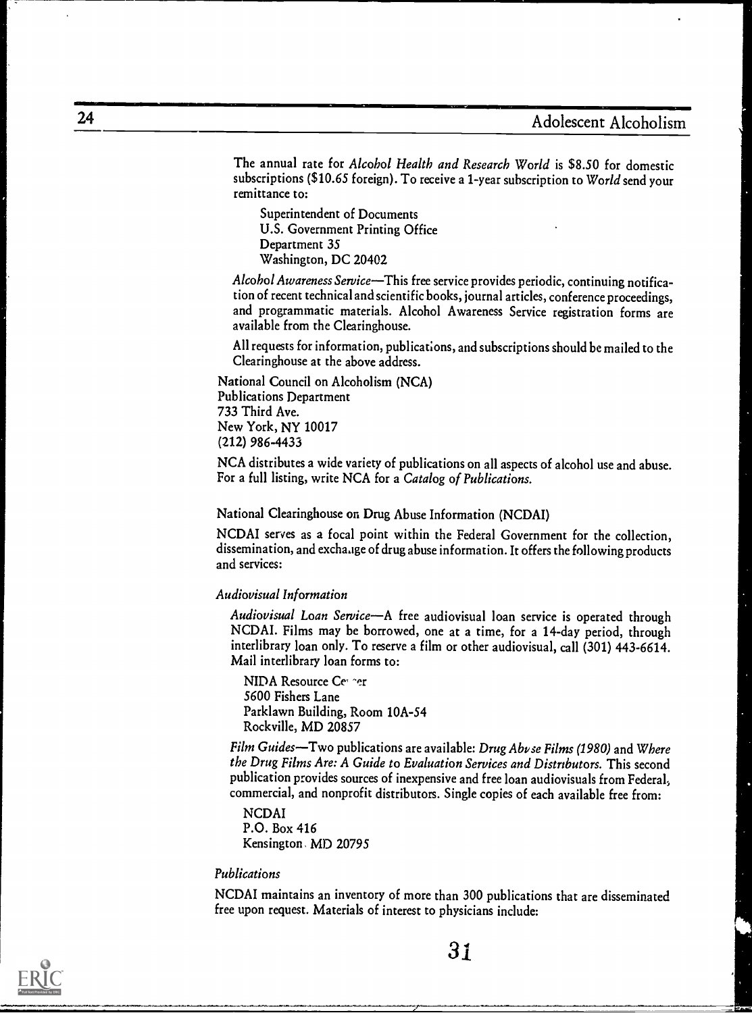The annual rate for Alcohol Health and Research World is \$8.50 for domestic subscriptions (\$10.65 foreign). To receive a 1-year subscription to World send your remittance to:

Superintendent of Documents U.S. Government Printing Office Department 35 Washington, DC 20402

Alcohol Awareness Service-This free service provides periodic, continuing notification of recent technical and scientific books, journal articles, conference proceedings, and programmatic materials. Alcohol Awareness Service registration forms are available from the Clearinghouse.

All requests for information, publications, and subscriptions should be mailed to the Clearinghouse at the above address.

National Council on Alcoholism (NCA) Publications Department 733 Third Ave. New York, NY 10017 (212) 986-4433

NCA distributes a wide variety of publications on all aspects of alcohol use and abuse. For a full listing, write NCA for a Catalog of Publications.

National Clearinghouse on Drug Abuse Information (NCDAI)

NCDAI serves as a focal point within the Federal Government for the collection, dissemination, and exchaage of drug abuse information. It offers the following products and services:

Audiovisual Information

Audiovisual Loan Service-A free audiovisual loan service is operated through NCDAI. Films may be borrowed, one at a time, for a 14-day period, through interlibrary loan only. To reserve a film or other audiovisual, call (301) 443-6614. Mail interlibrary loan forms to:

NIDA Resource Cer her 5600 Fishers Lane Parklawn Building, Room 10A-54 Rockville, MD 20857

Film Guides-Two publications are available: Drug Abvse Films (1980) and Where the Drug Films Are: A Guide to Evaluation Services and Distributors. This second publication provides sources of inexpensive and free loan audiovisuals from Federal, commercial, and nonprofit distributors. Single copies of each available free from:

NCDAI P.O. Box 416 Kensington. MD 20795

#### Publications

NCDAI maintains an inventory of more than 300 publications that are disseminated free upon request. Materials of interest to physicians include:



31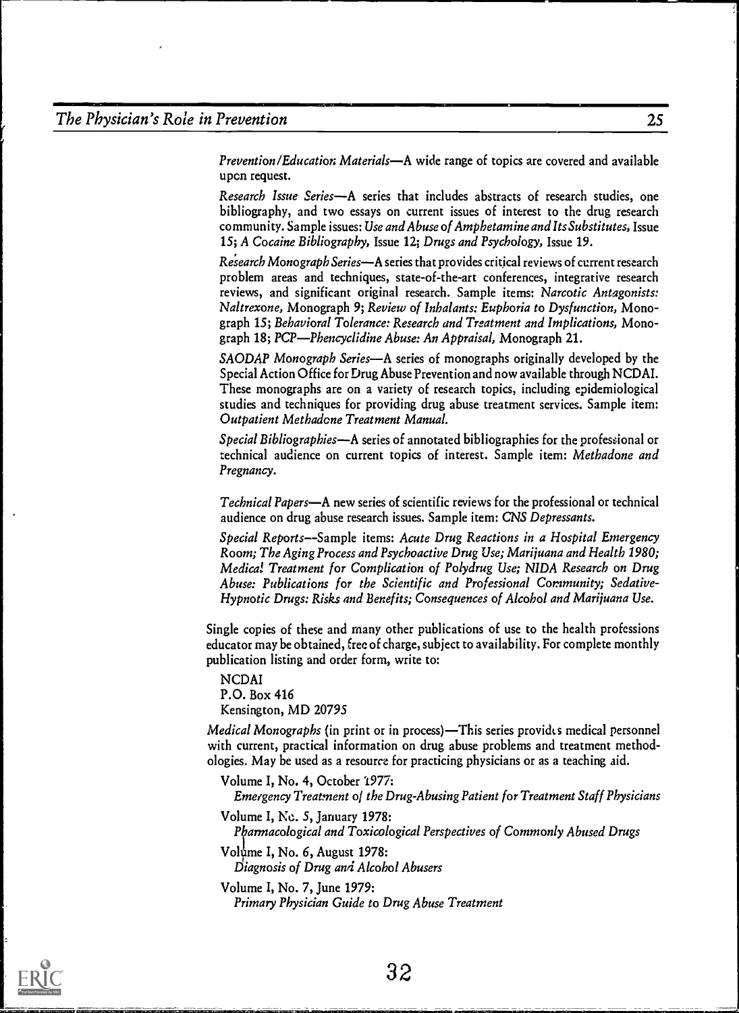Prevention/Education Materials—A wide range of topics are covered and available upon request.

Research Issue Series-A series that includes abstracts of research studies, one bibliography, and two essays on current issues of interest to the drug research community. Sample issues: Use and Abuse of Amphetamine and Its Substitutes, Issue 15; A Cocaine Bibliography, Issue 12; Drugs and Psychology, Issue 19.

Research Monograph Series—A series that provides critical reviews of current research problem areas and techniques, state-of-the-art conferences, integrative research reviews, and significant original research. Sample items: Narcotic Antagonists: Naltrexone, Monograph 9; Review of Inhalants: Euphoria to Dysfunction, Monograph 15; Behavioral Tolerance: Research and Treatment and Implications, Monograph 18; PCP—Phencyclidine Abuse: An Appraisal, Monograph 21.

SAODAP Monograph Series—A series of monographs originally developed by the Special Action Office for Drug Abuse Prevention and now available through NCDAI. These monographs are on a variety of research topics, including epidemiological studies and techniques for providing drug abuse treatment services. Sample item: Outpatient Methadone Treatment Manual.

Special Bibliographies—A series of annotated bibliographies for the professional or technical audience on current topics of interest. Sample item: Methadone and Pregnancy.

Technical Papers-A new series of scientific reviews for the professional or technical audience on drug abuse research issues. Sample item: CNS Depressants.

Special Reports-Sample items: Acute Drug Reactions in a Hospital Emergency Room; The Aging Process and Psychoactive Drug Use; Marijuana and Health 1980; Medical Treatment for Complication of Polydrug Use; NIDA Research on Drug Abuse: Publications for the Scientific and Professional Community; Sedative-Hypnotic Drugs: Risks and Benefits; Consequences of Alcohol and Marijuana Use.

Single copies of these and many other publications of use to the health professions educator may be obtained, free of charge, subject to availability. For complete monthly publication listing and order form, write to:

NCDAI P.O. Box 416 Kensington, MD 20795

Medical Monographs (in print or in process)—This series provides medical personnel with current, practical information on drug abuse problems and treatment methodologies. May be used as a resource for practicing physicians or as a teaching aid.

Volume I, No. 4, October 1977: Emergency Treatment o/ the Drug-Abusing Patient for Treatment Staff Physicians

Volume I, No. 5, January 1978: Pharmacological and Toxicological Perspectives of Commonly Abused Drugs

Volume I, No. 6, August 1978: Diagnosis of Drug and Alcohol Abusers

Volume I, No. 7, June 1979: Primary Physician Guide to Drug Abuse Treatment

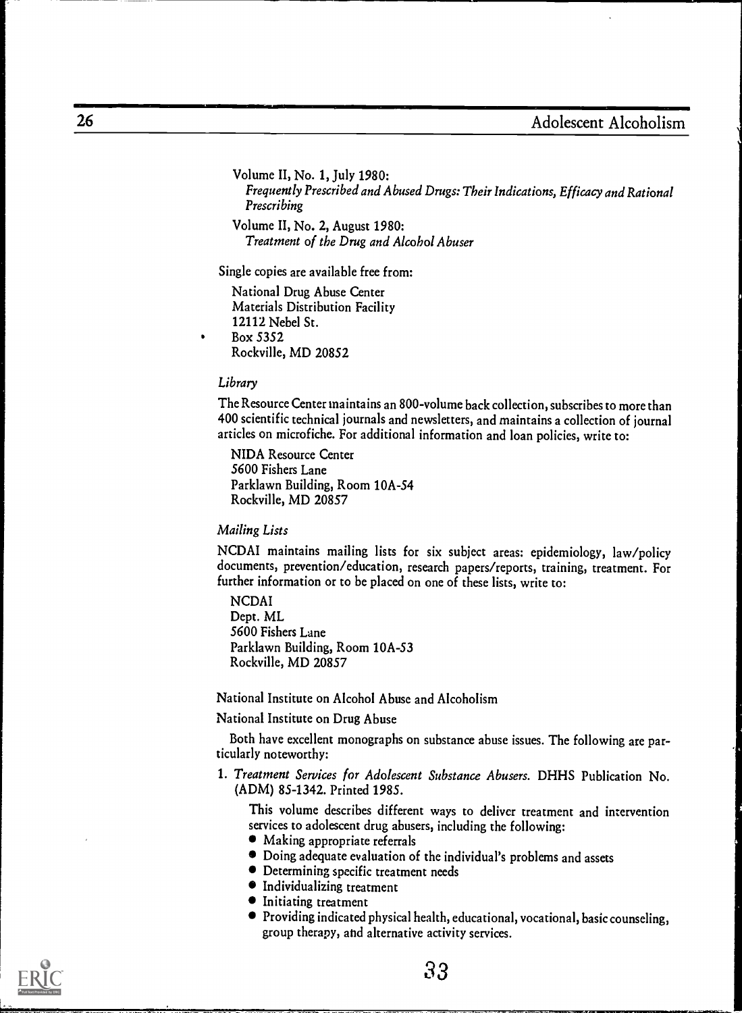Volume II, No. 1, July 1980: Frequently Prescribed and Abused Drugs: Their Indications, Efficacy and Rational Prescribing

Volume II, No. 2, August 1980: Treatment of the Drug and Alcohol Abuser

Single copies are available free from:

National Drug Abuse Center Materials Distribution Facility 12112 Nebel St. Box 5352 Rockville, MD 20852

#### Library

The Resource Center maintains an 800-volume back collection, subscribesto more than 400 scientific technical journals and newsletters, and maintains a collection of journal articles on microfiche. For additional information and loan policies, write to:

NIDA Resource Center 5600 Fishers Lane Parklawn Building, Room 10A-54 Rockville, MD 20857

#### Mailing Lists

NCDAI maintains mailing lists for six subject areas: epidemiology, law/policy documents, prevention/education, research papers/reports, training, treatment. For further information or to be placed on one of these lists, write to:

NCDAI Dept. ML 5600 Fishers Lane Parklawn Building, Room 10A-53 Rockville, MD 20857

National Institute on Alcohol Abuse and Alcoholism

National Institute on Drug Abuse

Both have excellent monographs on substance abuse issues. The following are particularly noteworthy:

1. Treatment Services for Adolescent Substance Abusers. DHHS Publication No. (ADM) 85-1342. Printed 1985.

This volume describes different ways to deliver treatment and intervention services to adolescent drug abusers, including the following:

- Making appropriate referrals
- Doing adequate evaluation of the individual's problems and assets
- Determining specific treatment needs
- $\bullet$  Individualizing treatment
- **•** Initiating treatment
- $\bullet$  Providing indicated physical health, educational, vocational, basic counseling, group therapy, and alternative activity services.